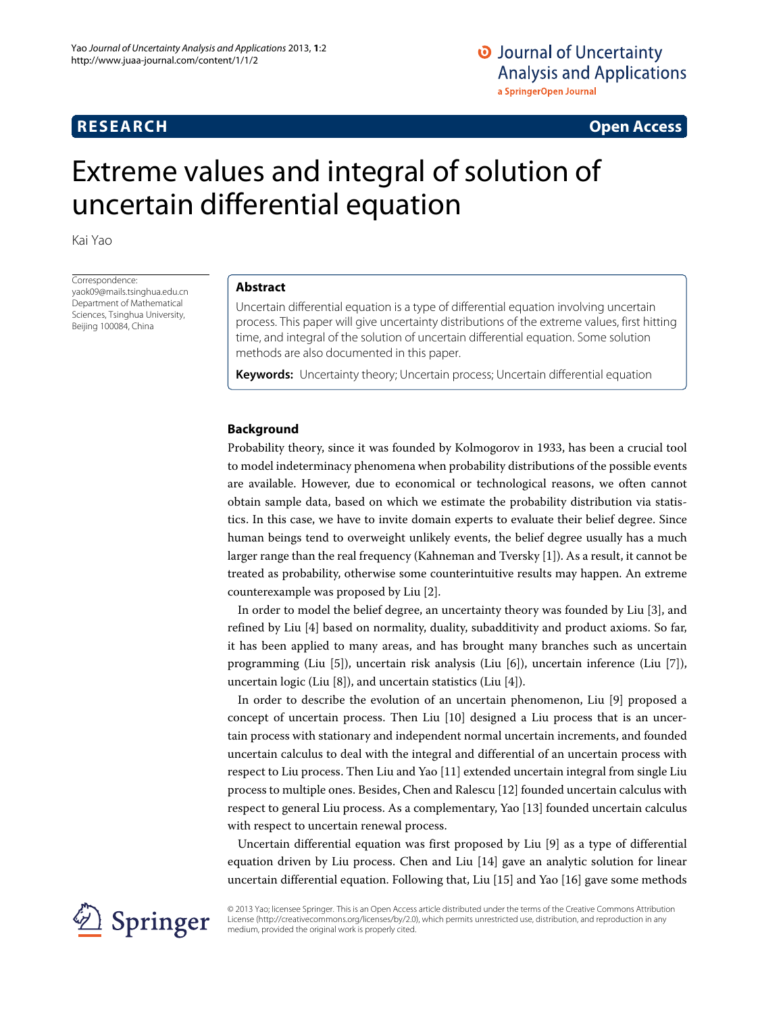# **RESEARCH Open Access**

# Extreme values and integral of solution of uncertain differential equation

Kai Yao

Correspondence: yaok09@mails.tsinghua.edu.cn Department of Mathematical Sciences, Tsinghua University, Beijing 100084, China

# **Abstract**

Uncertain differential equation is a type of differential equation involving uncertain process. This paper will give uncertainty distributions of the extreme values, first hitting time, and integral of the solution of uncertain differential equation. Some solution methods are also documented in this paper.

**Keywords:** Uncertainty theory; Uncertain process; Uncertain differential equation

# **Background**

Probability theory, since it was founded by Kolmogorov in 1933, has been a crucial tool to model indeterminacy phenomena when probability distributions of the possible events are available. However, due to economical or technological reasons, we often cannot obtain sample data, based on which we estimate the probability distribution via statistics. In this case, we have to invite domain experts to evaluate their belief degree. Since human beings tend to overweight unlikely events, the belief degree usually has a much larger range than the real frequency (Kahneman and Tversky [\[1\]](#page-20-0)). As a result, it cannot be treated as probability, otherwise some counterintuitive results may happen. An extreme counterexample was proposed by Liu [\[2\]](#page-20-1).

In order to model the belief degree, an uncertainty theory was founded by Liu [\[3\]](#page-20-2), and refined by Liu [\[4\]](#page-20-3) based on normality, duality, subadditivity and product axioms. So far, it has been applied to many areas, and has brought many branches such as uncertain programming (Liu [\[5\]](#page-20-4)), uncertain risk analysis (Liu [\[6\]](#page-20-5)), uncertain inference (Liu [\[7\]](#page-20-6)), uncertain logic (Liu [\[8\]](#page-20-7)), and uncertain statistics (Liu [\[4\]](#page-20-3)).

In order to describe the evolution of an uncertain phenomenon, Liu [\[9\]](#page-20-8) proposed a concept of uncertain process. Then Liu [\[10\]](#page-20-9) designed a Liu process that is an uncertain process with stationary and independent normal uncertain increments, and founded uncertain calculus to deal with the integral and differential of an uncertain process with respect to Liu process. Then Liu and Yao [\[11\]](#page-20-10) extended uncertain integral from single Liu process to multiple ones. Besides, Chen and Ralescu [\[12\]](#page-20-11) founded uncertain calculus with respect to general Liu process. As a complementary, Yao [\[13\]](#page-20-12) founded uncertain calculus with respect to uncertain renewal process.

Uncertain differential equation was first proposed by Liu [\[9\]](#page-20-8) as a type of differential equation driven by Liu process. Chen and Liu [\[14\]](#page-20-13) gave an analytic solution for linear uncertain differential equation. Following that, Liu [\[15\]](#page-20-14) and Yao [\[16\]](#page-20-15) gave some methods



© 2013 Yao; licensee Springer. This is an Open Access article distributed under the terms of the Creative Commons Attribution License (http://creativecommons.org/licenses/by/2.0), which permits unrestricted use, distribution, and reproduction in any medium, provided the original work is properly cited.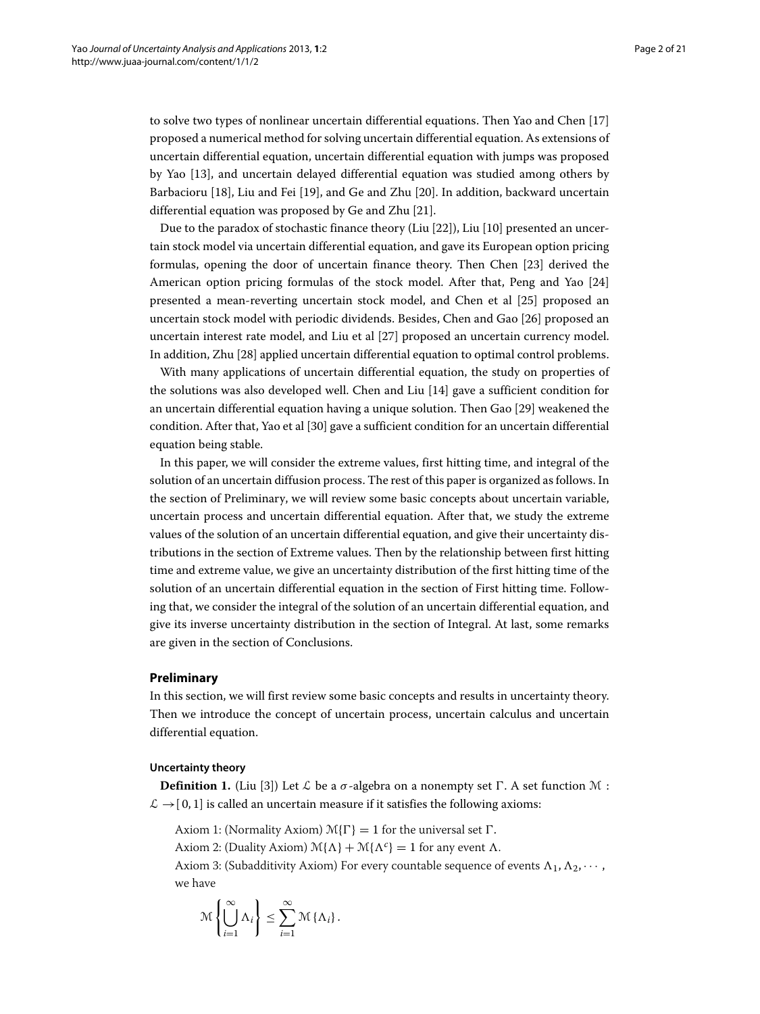to solve two types of nonlinear uncertain differential equations. Then Yao and Chen [\[17\]](#page-20-16) proposed a numerical method for solving uncertain differential equation. As extensions of uncertain differential equation, uncertain differential equation with jumps was proposed by Yao [\[13\]](#page-20-12), and uncertain delayed differential equation was studied among others by Barbacioru [\[18\]](#page-20-17), Liu and Fei [\[19\]](#page-20-18), and Ge and Zhu [\[20\]](#page-20-19). In addition, backward uncertain differential equation was proposed by Ge and Zhu [\[21\]](#page-20-20).

Due to the paradox of stochastic finance theory (Liu [\[22\]](#page-20-21)), Liu [\[10\]](#page-20-9) presented an uncertain stock model via uncertain differential equation, and gave its European option pricing formulas, opening the door of uncertain finance theory. Then Chen [\[23\]](#page-20-22) derived the American option pricing formulas of the stock model. After that, Peng and Yao [\[24\]](#page-20-23) presented a mean-reverting uncertain stock model, and Chen et al [\[25\]](#page-20-24) proposed an uncertain stock model with periodic dividends. Besides, Chen and Gao [\[26\]](#page-20-25) proposed an uncertain interest rate model, and Liu et al [\[27\]](#page-20-26) proposed an uncertain currency model. In addition, Zhu [\[28\]](#page-20-27) applied uncertain differential equation to optimal control problems.

With many applications of uncertain differential equation, the study on properties of the solutions was also developed well. Chen and Liu [\[14\]](#page-20-13) gave a sufficient condition for an uncertain differential equation having a unique solution. Then Gao [\[29\]](#page-20-28) weakened the condition. After that, Yao et al [\[30\]](#page-20-29) gave a sufficient condition for an uncertain differential equation being stable.

In this paper, we will consider the extreme values, first hitting time, and integral of the solution of an uncertain diffusion process. The rest of this paper is organized as follows. In the section of [Preliminary,](#page-1-0) we will review some basic concepts about uncertain variable, uncertain process and uncertain differential equation. After that, we study the extreme values of the solution of an uncertain differential equation, and give their uncertainty distributions in the section of [Extreme values.](#page-5-0) Then by the relationship between first hitting time and extreme value, we give an uncertainty distribution of the first hitting time of the solution of an uncertain differential equation in the section of [First hitting time.](#page-12-0) Following that, we consider the integral of the solution of an uncertain differential equation, and give its inverse uncertainty distribution in the section of [Integral.](#page-17-0) At last, some remarks are given in the section of [Conclusions.](#page-19-0)

#### <span id="page-1-0"></span>**Preliminary**

In this section, we will first review some basic concepts and results in uncertainty theory. Then we introduce the concept of uncertain process, uncertain calculus and uncertain differential equation.

## **Uncertainty theory**

**Definition 1.** (Liu [\[3\]](#page-20-2)) Let L be a  $\sigma$ -algebra on a nonempty set  $\Gamma$ . A set function M:  $\mathcal{L} \rightarrow [0, 1]$  is called an uncertain measure if it satisfies the following axioms:

Axiom 1: (Normality Axiom)  $\mathcal{M}\{\Gamma\} = 1$  for the universal set  $\Gamma$ .

Axiom 2: (Duality Axiom)  $\mathcal{M}\{\Lambda\} + \mathcal{M}\{\Lambda^c\} = 1$  for any event  $\Lambda$ .

Axiom 3: (Subadditivity Axiom) For every countable sequence of events  $\Lambda_1, \Lambda_2, \cdots$ , we have

$$
\mathcal{M}\left\{\bigcup_{i=1}^{\infty} \Lambda_i\right\} \leq \sum_{i=1}^{\infty} \mathcal{M}\left\{\Lambda_i\right\}.
$$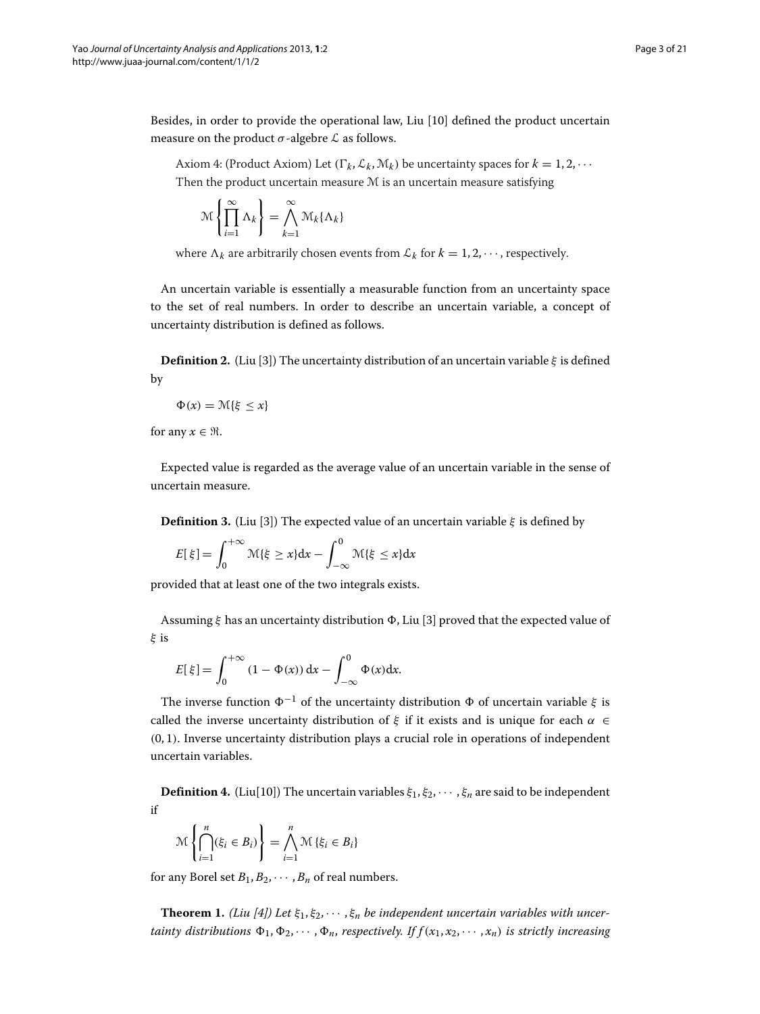Besides, in order to provide the operational law, Liu [\[10\]](#page-20-9) defined the product uncertain measure on the product  $\sigma$ -algebre  $\mathcal L$  as follows.

Axiom 4: (Product Axiom) Let  $(\Gamma_k, \mathcal{L}_k, \mathcal{M}_k)$  be uncertainty spaces for  $k = 1, 2, \cdots$ Then the product uncertain measure M is an uncertain measure satisfying

$$
\mathcal{M}\left\{\prod_{i=1}^{\infty}\Lambda_{k}\right\} = \bigwedge_{k=1}^{\infty}\mathcal{M}_{k}\{\Lambda_{k}\}
$$

where  $\Lambda_k$  are arbitrarily chosen events from  $\mathcal{L}_k$  for  $k = 1, 2, \cdots$ , respectively.

An uncertain variable is essentially a measurable function from an uncertainty space to the set of real numbers. In order to describe an uncertain variable, a concept of uncertainty distribution is defined as follows.

**Definition 2.** (Liu [\[3\]](#page-20-2)) The uncertainty distribution of an uncertain variable *ξ* is defined by

$$
\Phi(x) = \mathcal{M}\{\xi \le x\}
$$

for any  $x \in \Re$ .

Expected value is regarded as the average value of an uncertain variable in the sense of uncertain measure.

**Definition 3.** (Liu [\[3\]](#page-20-2)) The expected value of an uncertain variable *ξ* is defined by

$$
E[\xi] = \int_0^{+\infty} \mathcal{M}\{\xi \ge x\} \mathrm{d}x - \int_{-\infty}^0 \mathcal{M}\{\xi \le x\} \mathrm{d}x
$$

provided that at least one of the two integrals exists.

Assuming *ξ* has an uncertainty distribution , Liu [\[3\]](#page-20-2) proved that the expected value of *ξ* is

$$
E[\xi] = \int_0^{+\infty} (1 - \Phi(x)) dx - \int_{-\infty}^0 \Phi(x) dx.
$$

The inverse function  $\Phi^{-1}$  of the uncertainty distribution  $\Phi$  of uncertain variable  $\xi$  is called the inverse uncertainty distribution of *ξ* if it exists and is unique for each *α* ∈ *(*0, 1*)*. Inverse uncertainty distribution plays a crucial role in operations of independent uncertain variables.

**Definition 4.** (Liu[\[10\]](#page-20-9)) The uncertain variables  $\xi_1, \xi_2, \cdots, \xi_n$  are said to be independent if

$$
\mathcal{M}\left\{\bigcap_{i=1}^{n}(\xi_{i} \in B_{i})\right\} = \bigwedge_{i=1}^{n} \mathcal{M}\left\{\xi_{i} \in B_{i}\right\}
$$

for any Borel set  $B_1, B_2, \cdots, B_n$  of real numbers.

**Theorem 1.** *(Liu [\[4\]](#page-20-3))* Let  $\xi_1, \xi_2, \cdots, \xi_n$  be independent uncertain variables with uncer*tainty distributions*  $\Phi_1, \Phi_2, \cdots, \Phi_n$ , *respectively. If*  $f(x_1, x_2, \cdots, x_n)$  *is strictly increasing*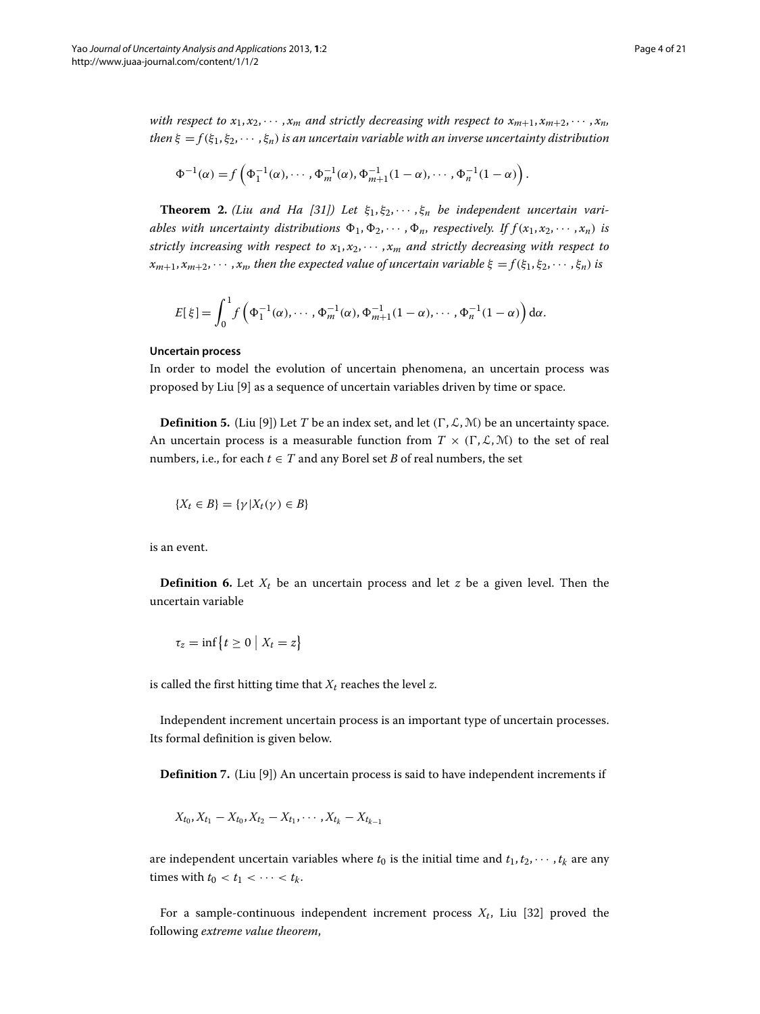*with respect to*  $x_1, x_2, \dots, x_m$  *and strictly decreasing with respect to*  $x_{m+1}, x_{m+2}, \dots, x_n$ *then*  $\xi = f(\xi_1, \xi_2, \dots, \xi_n)$  *is an uncertain variable with an inverse uncertainty distribution* 

$$
\Phi^{-1}(\alpha) = f\left(\Phi_1^{-1}(\alpha), \cdots, \Phi_m^{-1}(\alpha), \Phi_{m+1}^{-1}(1-\alpha), \cdots, \Phi_n^{-1}(1-\alpha)\right).
$$

**Theorem 2.** *(Liu and Ha [\[31\]](#page-20-30)) Let ξ*1, *ξ*2, ··· , *ξ<sup>n</sup> be independent uncertain variables with uncertainty distributions*  $\Phi_1, \Phi_2, \cdots, \Phi_n$ , *respectively. If*  $f(x_1, x_2, \cdots, x_n)$  *is strictly increasing with respect to*  $x_1, x_2, \cdots, x_m$  *and strictly decreasing with respect to*  $x_{m+1}, x_{m+2}, \cdots, x_n$ , then the expected value of uncertain variable  $\xi = f(\xi_1, \xi_2, \cdots, \xi_n)$  is

$$
E[\xi] = \int_0^1 f\left(\Phi_1^{-1}(\alpha), \cdots, \Phi_m^{-1}(\alpha), \Phi_{m+1}^{-1}(1-\alpha), \cdots, \Phi_n^{-1}(1-\alpha)\right) d\alpha.
$$

#### **Uncertain process**

In order to model the evolution of uncertain phenomena, an uncertain process was proposed by Liu [\[9\]](#page-20-8) as a sequence of uncertain variables driven by time or space.

**Definition 5.** (Liu [\[9\]](#page-20-8)) Let *T* be an index set, and let  $(\Gamma, \mathcal{L}, \mathcal{M})$  be an uncertainty space. An uncertain process is a measurable function from  $T \times (\Gamma, \mathcal{L}, \mathcal{M})$  to the set of real numbers, i.e., for each  $t \in T$  and any Borel set *B* of real numbers, the set

$$
\{X_t \in B\} = \{\gamma | X_t(\gamma) \in B\}
$$

is an event.

**Definition 6.** Let  $X_t$  be an uncertain process and let *z* be a given level. Then the uncertain variable

$$
\tau_z = \inf\big\{t \geq 0 \bigm| X_t = z\big\}
$$

is called the first hitting time that  $X_t$  reaches the level  $z$ .

Independent increment uncertain process is an important type of uncertain processes. Its formal definition is given below.

**Definition** 7. (Liu [\[9\]](#page-20-8)) An uncertain process is said to have independent increments if

$$
X_{t_0}, X_{t_1} - X_{t_0}, X_{t_2} - X_{t_1}, \cdots, X_{t_k} - X_{t_{k-1}}
$$

are independent uncertain variables where  $t_0$  is the initial time and  $t_1, t_2, \cdots, t_k$  are any times with  $t_0 < t_1 < \cdots < t_k$ .

For a sample-continuous independent increment process  $X_t$ , Liu [\[32\]](#page-20-31) proved the following *extreme value theorem*,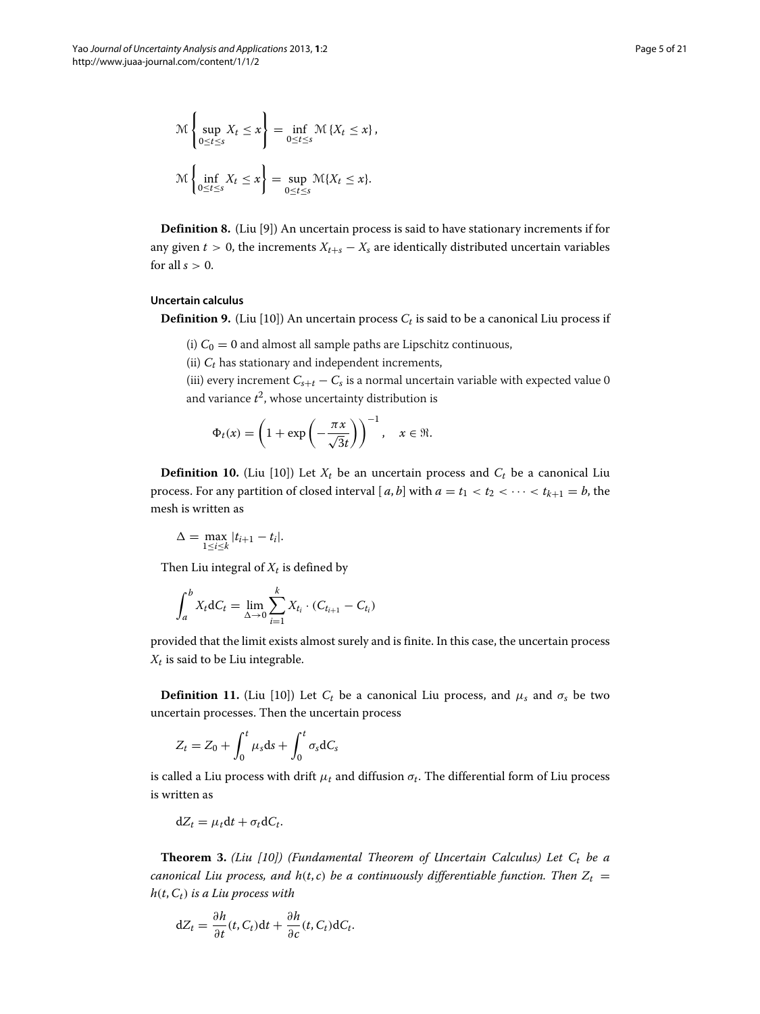$$
\mathcal{M}\left\{\sup_{0\leq t\leq s} X_t \leq x\right\} = \inf_{0\leq t\leq s} \mathcal{M}\left\{X_t \leq x\right\},\
$$

$$
\mathcal{M}\left\{\inf_{0\leq t\leq s} X_t \leq x\right\} = \sup_{0\leq t\leq s} \mathcal{M}\left\{X_t \leq x\right\}.
$$

**Definition 8.** (Liu [\[9\]](#page-20-8)) An uncertain process is said to have stationary increments if for any given  $t > 0$ , the increments  $X_{t+s} - X_s$  are identically distributed uncertain variables for all  $s > 0$ .

#### **Uncertain calculus**

**Definition 9.** (Liu [\[10\]](#page-20-9)) An uncertain process  $C_t$  is said to be a canonical Liu process if

- (i)  $C_0 = 0$  and almost all sample paths are Lipschitz continuous,
- (ii)  $C_t$  has stationary and independent increments,

(iii) every increment  $C_{s+t} - C_s$  is a normal uncertain variable with expected value 0 and variance  $t^2$ , whose uncertainty distribution is

$$
\Phi_t(x) = \left(1 + \exp\left(-\frac{\pi x}{\sqrt{3}t}\right)\right)^{-1}, \quad x \in \mathfrak{R}.
$$

**Definition 10.** (Liu [\[10\]](#page-20-9)) Let  $X_t$  be an uncertain process and  $C_t$  be a canonical Liu process. For any partition of closed interval [ $a$ ,  $b$ ] with  $a = t_1 < t_2 < \cdots < t_{k+1} = b$ , the mesh is written as

$$
\Delta = \max_{1 \leq i \leq k} |t_{i+1} - t_i|.
$$

Then Liu integral of  $X_t$  is defined by

$$
\int_{a}^{b} X_{t} dC_{t} = \lim_{\Delta \to 0} \sum_{i=1}^{k} X_{t_{i}} \cdot (C_{t_{i+1}} - C_{t_{i}})
$$

provided that the limit exists almost surely and is finite. In this case, the uncertain process  $X_t$  is said to be Liu integrable.

**Definition 11.** (Liu [\[10\]](#page-20-9)) Let  $C_t$  be a canonical Liu process, and  $\mu_s$  and  $\sigma_s$  be two uncertain processes. Then the uncertain process

$$
Z_t = Z_0 + \int_0^t \mu_s \mathrm{d}s + \int_0^t \sigma_s \mathrm{d}C_s
$$

is called a Liu process with drift  $\mu_t$  and diffusion  $\sigma_t$ . The differential form of Liu process is written as

 $dZ_t = \mu_t dt + \sigma_t dC_t$ .

**Theorem 3.** *(Liu [\[10\]](#page-20-9)) (Fundamental Theorem of Uncertain Calculus) Let*  $C_t$  *be a canonical Liu process, and*  $h(t, c)$  *be a continuously differentiable function. Then*  $Z_t =$ *h(t*,*Ct) is a Liu process with*

$$
dZ_t = \frac{\partial h}{\partial t}(t, C_t)dt + \frac{\partial h}{\partial c}(t, C_t)dC_t.
$$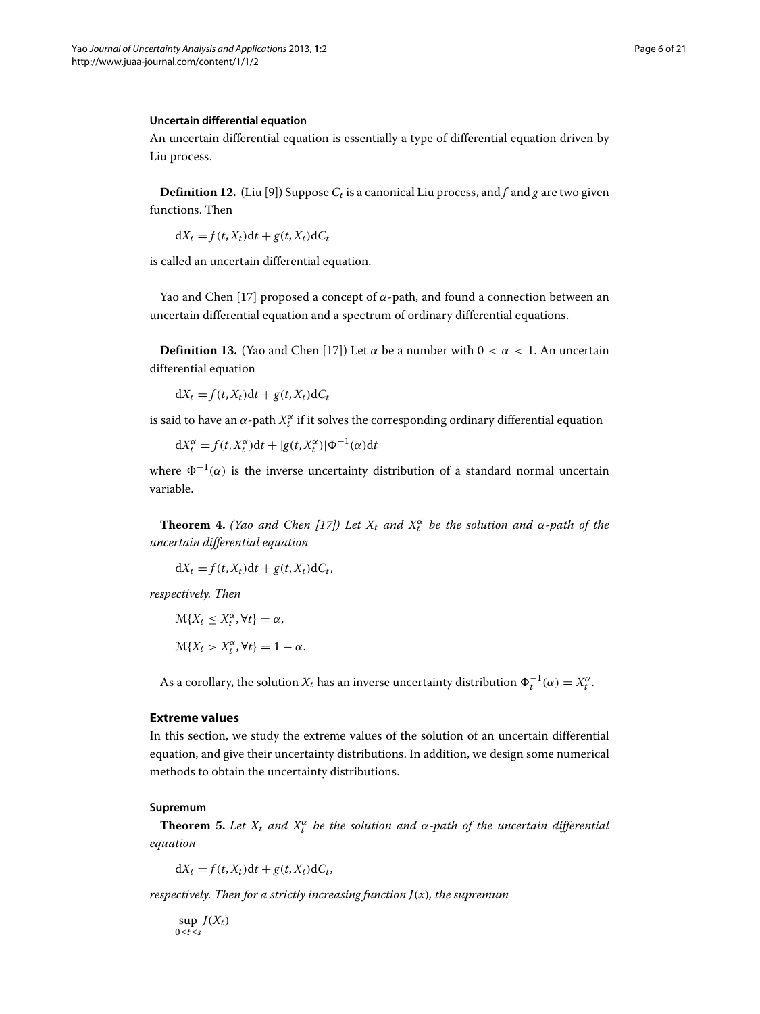## **Uncertain differential equation**

An uncertain differential equation is essentially a type of differential equation driven by Liu process.

**Definition 12.** (Liu [\[9\]](#page-20-8)) Suppose  $C_t$  is a canonical Liu process, and f and g are two given functions. Then

 $dX_t = f(t, X_t)dt + g(t, X_t)dC_t$ 

is called an uncertain differential equation.

Yao and Chen [\[17\]](#page-20-16) proposed a concept of *α*-path, and found a connection between an uncertain differential equation and a spectrum of ordinary differential equations.

**Definition 13.** (Yao and Chen [\[17\]](#page-20-16)) Let  $\alpha$  be a number with  $0 < \alpha < 1$ . An uncertain differential equation

 $dX_t = f(t, X_t)dt + g(t, X_t)dC_t$ 

is said to have an  $\alpha$ -path  $X_t^{\alpha}$  if it solves the corresponding ordinary differential equation

 $dX_t^{\alpha} = f(t, X_t^{\alpha})dt + |g(t, X_t^{\alpha})| \Phi^{-1}(\alpha)dt$ 

where  $\Phi^{-1}(\alpha)$  is the inverse uncertainty distribution of a standard normal uncertain variable.

<span id="page-5-1"></span>**Theorem 4.** *(Yao and Chen [\[17\]](#page-20-16)) Let*  $X_t$  *and*  $X_t^{\alpha}$  *be the solution and*  $\alpha$ -path of the *uncertain differential equation*

 $dX_t = f(t, X_t)dt + g(t, X_t)dC_t$ 

*respectively. Then*

$$
\mathcal{M}\{X_t \le X_t^{\alpha}, \forall t\} = \alpha,
$$
  

$$
\mathcal{M}\{X_t > X_t^{\alpha}, \forall t\} = 1 - \alpha.
$$

As a corollary, the solution  $X_t$  has an inverse uncertainty distribution  $\Phi_t^{-1}(\alpha) = X_t^{\alpha}$ .

# <span id="page-5-0"></span>**Extreme values**

In this section, we study the extreme values of the solution of an uncertain differential equation, and give their uncertainty distributions. In addition, we design some numerical methods to obtain the uncertainty distributions.

#### **Supremum**

<span id="page-5-2"></span>**Theorem 5.** Let  $X_t$  and  $X_t^{\alpha}$  be the solution and  $\alpha$ -path of the uncertain differential *equation*

 $dX_t = f(t, X_t)dt + g(t, X_t)dC_t$ 

*respectively. Then for a strictly increasing function J(x), the supremum*

sup  $J(X_t)$ 0≤*t*≤*s*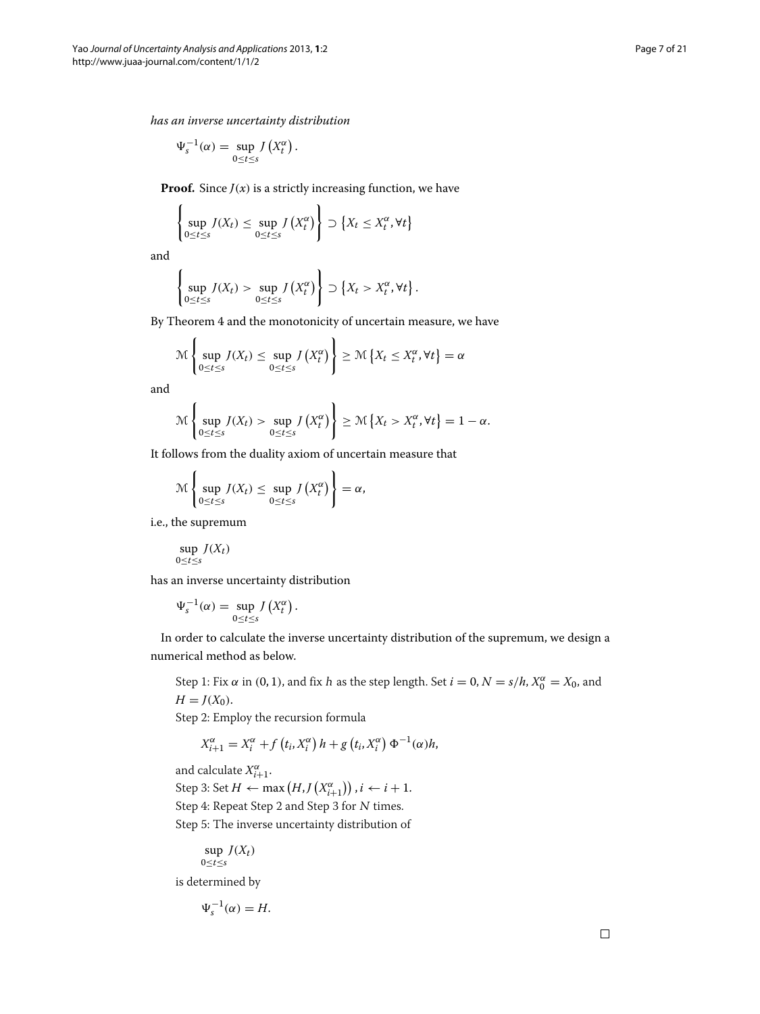*has an inverse uncertainty distribution*

$$
\Psi_s^{-1}(\alpha) = \sup_{0 \le t \le s} J\left(X_t^{\alpha}\right).
$$

**Proof.** Since  $J(x)$  is a strictly increasing function, we have  $\mathbf{r}$ 

$$
\left\{\sup_{0\leq t\leq s} J(X_t) \leq \sup_{0\leq t\leq s} J(X_t^{\alpha})\right\} \supset \left\{X_t \leq X_t^{\alpha}, \forall t\right\}
$$

and

$$
\left\{\sup_{0\leq t\leq s}J(X_t)>\sup_{0\leq t\leq s}J(X_t^{\alpha})\right\}\supset \left\{X_t> X_t^{\alpha}, \forall t\right\}.
$$

By Theorem [4](#page-5-1) and the monotonicity of uncertain measure, we have

 $\overline{ }$ 

$$
\mathcal{M}\left\{\sup_{0\leq t\leq s}J(X_t)\leq \sup_{0\leq t\leq s}J(X_t^{\alpha})\right\}\geq \mathcal{M}\left\{X_t\leq X_t^{\alpha},\forall t\right\}=\alpha
$$

and

$$
\mathcal{M}\left\{\sup_{0\leq t\leq s}J(X_t)>\sup_{0\leq t\leq s}J\left(X_t^{\alpha}\right)\right\}\geq \mathcal{M}\left\{X_t> X_t^{\alpha}, \forall t\right\}=1-\alpha.
$$

It follows from the duality axiom of uncertain measure that

$$
\mathcal{M}\left\{\sup_{0\leq t\leq s}J(X_t)\leq \sup_{0\leq t\leq s}J(X_t^{\alpha})\right\}=\alpha,
$$

i.e., the supremum

$$
\sup_{0\leq t\leq s}J(X_t)
$$

has an inverse uncertainty distribution

$$
\Psi_s^{-1}(\alpha) = \sup_{0 \le t \le s} J\left(X_t^{\alpha}\right).
$$

In order to calculate the inverse uncertainty distribution of the supremum, we design a numerical method as below.

Step 1: Fix  $\alpha$  in (0, 1), and fix h as the step length. Set  $i = 0$ ,  $N = s/h$ ,  $X_0^{\alpha} = X_0$ , and  $H = J(X_0)$ .

Step 2: Employ the recursion formula

$$
X_{i+1}^{\alpha} = X_i^{\alpha} + f(t_i, X_i^{\alpha}) h + g(t_i, X_i^{\alpha}) \Phi^{-1}(\alpha) h,
$$

and calculate  $X^{\alpha}_{i+1}$ . Step 3: Set  $H \leftarrow \max (H, J(X^{\alpha}_{i+1}))$  ,  $i \leftarrow i+1$ . Step 4: Repeat Step 2 and Step 3 for <sup>N</sup> times. Step 5: The inverse uncertainty distribution of

$$
\sup_{0\leq t\leq s}J(X_t)
$$

is determined by

$$
\Psi_s^{-1}(\alpha) = H.
$$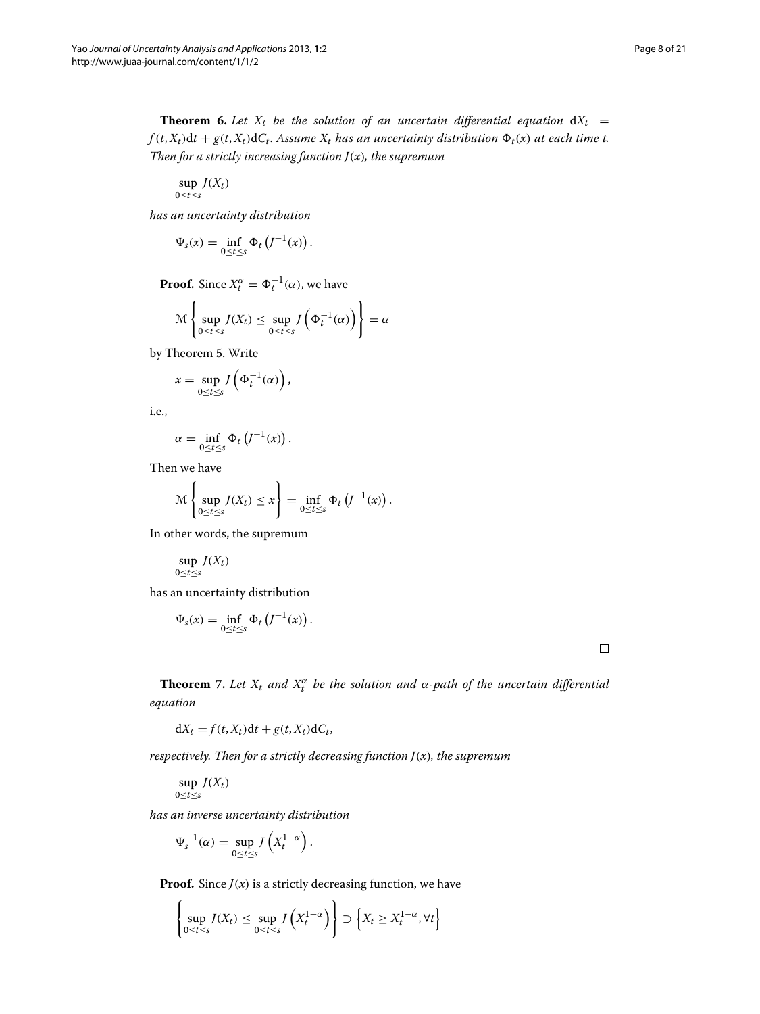<span id="page-7-1"></span>**Theorem 6.** Let  $X_t$  be the solution of an uncertain differential equation  $dX_t =$  $f(t, X_t)dt + g(t, X_t)dC_t$ . *Assume*  $X_t$  *has an uncertainty distribution*  $\Phi_t(x)$  *at each time t. Then for a strictly increasing function J(x), the supremum*

sup  $J(X_t)$ 0≤*t*≤*s*

*has an uncertainty distribution*

$$
\Psi_s(x) = \inf_{0 \le t \le s} \Phi_t \left( J^{-1}(x) \right).
$$

**Proof.** Since  $X_t^{\alpha} = \Phi_t^{-1}(\alpha)$ , we have

$$
\mathcal{M}\left\{\sup_{0\leq t\leq s}J(X_t)\leq \sup_{0\leq t\leq s}J\left(\Phi_t^{-1}(\alpha)\right)\right\}=\alpha
$$

by Theorem [5.](#page-5-2) Write

$$
x = \sup_{0 \le t \le s} J\left(\Phi_t^{-1}(\alpha)\right),
$$

i.e.,

$$
\alpha = \inf_{0 \leq t \leq s} \Phi_t \left( J^{-1}(x) \right).
$$

Then we have

$$
\mathcal{M}\left\{\sup_{0\leq t\leq s}J(X_t)\leq x\right\}=\inf_{0\leq t\leq s}\Phi_t\left(J^{-1}(x)\right).
$$

In other words, the supremum

$$
\sup_{0\leq t\leq s}J(X_t)
$$

has an uncertainty distribution

$$
\Psi_s(x) = \inf_{0 \le t \le s} \Phi_t \left( J^{-1}(x) \right).
$$

 $\Box$ 

<span id="page-7-0"></span>**Theorem** 7. Let  $X_t$  and  $X_t^{\alpha}$  be the solution and  $\alpha$ -path of the uncertain differential *equation*

 $dX_t = f(t, X_t)dt + g(t, X_t)dC_t$ 

*respectively. Then for a strictly decreasing function J(x), the supremum*

$$
\sup_{0\leq t\leq s}J(X_t)
$$

*has an inverse uncertainty distribution*

$$
\Psi_s^{-1}(\alpha) = \sup_{0 \le t \le s} J\left(X_t^{1-\alpha}\right).
$$

**Proof.** Since  $J(x)$  is a strictly decreasing function, we have

 $\lambda$ 

$$
\left\{\sup_{0\leq t\leq s} J(X_t) \leq \sup_{0\leq t\leq s} J\left(X_t^{1-\alpha}\right)\right\} \supset \left\{X_t \geq X_t^{1-\alpha}, \forall t\right\}
$$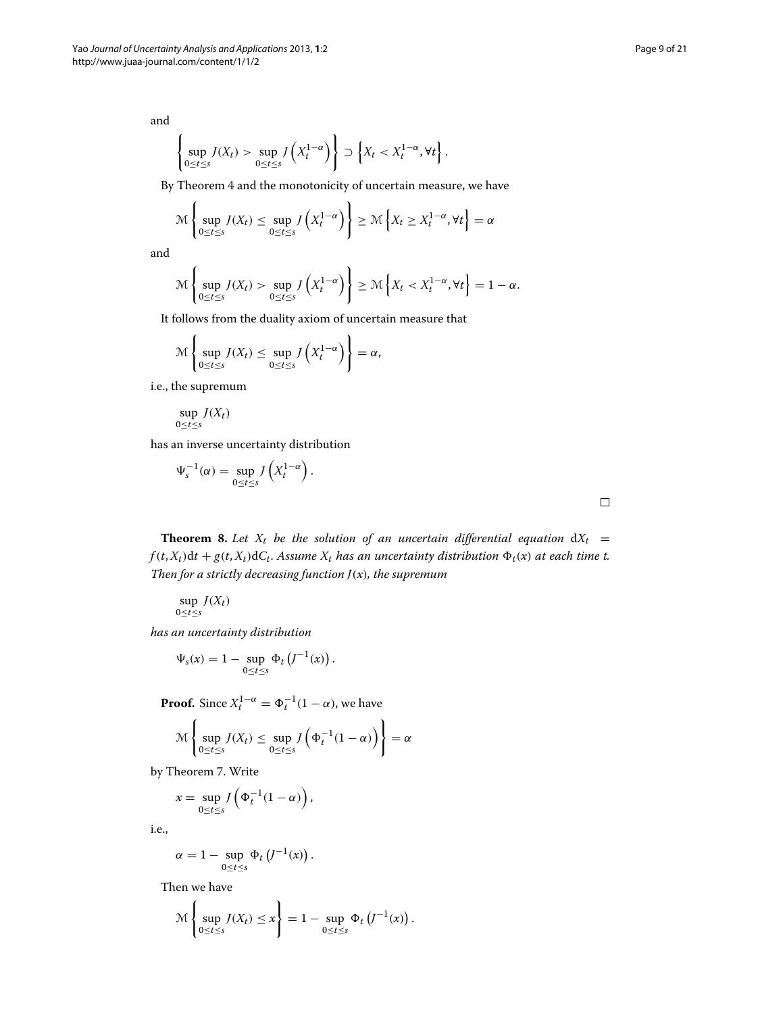and

$$
\left\{\sup_{0\leq t\leq s}J(X_t)>\sup_{0\leq t\leq s}J\left(X_t^{1-\alpha}\right)\right\}\supset \left\{X_t< X_t^{1-\alpha},\forall t\right\}.
$$

By Theorem [4](#page-5-1) and the monotonicity of uncertain measure, we have

$$
\mathcal{M}\left\{\sup_{0\leq t\leq s}J(X_t)\leq \sup_{0\leq t\leq s}J\left(X_t^{1-\alpha}\right)\right\}\geq \mathcal{M}\left\{X_t\geq X_t^{1-\alpha},\forall t\right\}=\alpha
$$

and

$$
\mathcal{M}\left\{\sup_{0\leq t\leq s}J(X_t)>\sup_{0\leq t\leq s}J\left(X_t^{1-\alpha}\right)\right\}\geq \mathcal{M}\left\{X_t< X_t^{1-\alpha},\forall t\right\}=1-\alpha.
$$

It follows from the duality axiom of uncertain measure that

$$
\mathcal{M}\left\{\sup_{0\leq t\leq s}J(X_t)\leq \sup_{0\leq t\leq s}J\left(X_t^{1-\alpha}\right)\right\}=\alpha,
$$

i.e., the supremum

$$
\sup_{0\leq t\leq s}J(X_t)
$$

has an inverse uncertainty distribution

$$
\Psi_s^{-1}(\alpha) = \sup_{0 \le t \le s} J\left(X_t^{1-\alpha}\right).
$$

**Theorem 8.** Let  $X_t$  be the solution of an uncertain differential equation  $dX_t =$  $f(t, X_t)dt + g(t, X_t)dC_t$ . Assume  $X_t$  has an uncertainty distribution  $\Phi_t(x)$  at each time t. *Then for a strictly decreasing function J(x), the supremum*

$$
\sup_{0\leq t\leq s} J(X_t)
$$

*has an uncertainty distribution*

$$
\Psi_s(x) = 1 - \sup_{0 \le t \le s} \Phi_t \left( J^{-1}(x) \right)
$$

**Proof.** Since  $X_t^{1-\alpha} = \Phi_t^{-1}(1-\alpha)$ , we have

$$
\mathcal{M}\left\{\sup_{0\leq t\leq s}J(X_t)\leq \sup_{0\leq t\leq s}J\left(\Phi_t^{-1}(1-\alpha)\right)\right\}=\alpha
$$

.

by Theorem [7.](#page-7-0) Write

$$
x = \sup_{0 \le t \le s} J\left(\Phi_t^{-1}(1-\alpha)\right),
$$

i.e.,

$$
\alpha = 1 - \sup_{0 \le t \le s} \Phi_t \left( J^{-1}(x) \right).
$$

Then we have

$$
\mathcal{M}\left\{\sup_{0\leq t\leq s}J(X_t)\leq x\right\}=1-\sup_{0\leq t\leq s}\Phi_t\left(J^{-1}(x)\right).
$$

 $\lambda$ 

 $\Box$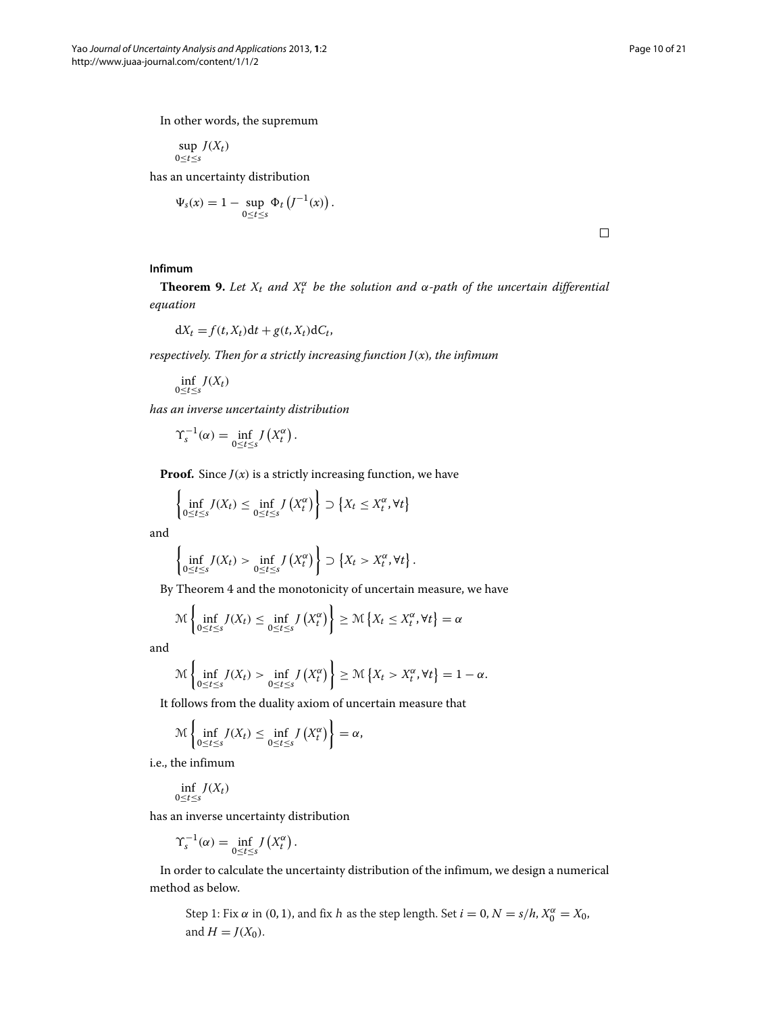In other words, the supremum

sup  $J(X_t)$ 0≤*t*≤*s*

has an uncertainty distribution

$$
\Psi_s(x) = 1 - \sup_{0 \le t \le s} \Phi_t \left( J^{-1}(x) \right).
$$

 $\Box$ 

# **Infimum**

<span id="page-9-0"></span>**Theorem 9.** Let  $X_t$  and  $X_t^{\alpha}$  be the solution and  $\alpha$ -path of the uncertain differential *equation*

$$
dX_t = f(t, X_t)dt + g(t, X_t)dC_t,
$$

*respectively. Then for a strictly increasing function J(x), the infimum*

 $\inf_{0 \le t \le s} J(X_t)$ 

*has an inverse uncertainty distribution*

$$
\Upsilon_s^{-1}(\alpha) = \inf_{0 \leq t \leq s} J\left(X_t^{\alpha}\right).
$$

**Proof.** Since  $J(x)$  is a strictly increasing function, we have

$$
\left\{\inf_{0\leq t\leq s} J(X_t) \leq \inf_{0\leq t\leq s} J(X_t^{\alpha})\right\} \supset \left\{X_t \leq X_t^{\alpha}, \forall t\right\}
$$

and

$$
\left\{\inf_{0\leq t\leq s}J(X_t)>\inf_{0\leq t\leq s}J(X_t^\alpha)\right\}\supset \left\{X_t> X_t^\alpha,\forall t\right\}.
$$

By Theorem [4](#page-5-1) and the monotonicity of uncertain measure, we have

$$
\mathcal{M}\left\{\inf_{0\leq t\leq s}J(X_t)\leq \inf_{0\leq t\leq s}J\left(X_t^{\alpha}\right)\right\}\geq \mathcal{M}\left\{X_t\leq X_t^{\alpha},\forall t\right\}=\alpha
$$

and

$$
\mathcal{M}\left\{\inf_{0\leq t\leq s}J(X_t)>\inf_{0\leq t\leq s}J\left(X_t^{\alpha}\right)\right\}\geq \mathcal{M}\left\{X_t> X_t^{\alpha},\forall t\right\}=1-\alpha.
$$

It follows from the duality axiom of uncertain measure that

$$
\mathcal{M}\left\{\inf_{0\leq t\leq s}J(X_t)\leq \inf_{0\leq t\leq s}J\left(X_t^{\alpha}\right)\right\}=\alpha,
$$

i.e., the infimum

$$
\inf_{0\leq t\leq s}J(X_t)
$$

has an inverse uncertainty distribution

$$
\Upsilon_s^{-1}(\alpha) = \inf_{0 \le t \le s} J\left(X_t^{\alpha}\right).
$$

In order to calculate the uncertainty distribution of the infimum, we design a numerical method as below.

Step 1: Fix  $\alpha$  in (0, 1), and fix  $h$  as the step length. Set  $i = 0$ ,  $N = s/h$ ,  $X_0^{\alpha} = X_0$ , and  $H = J(X_0)$ .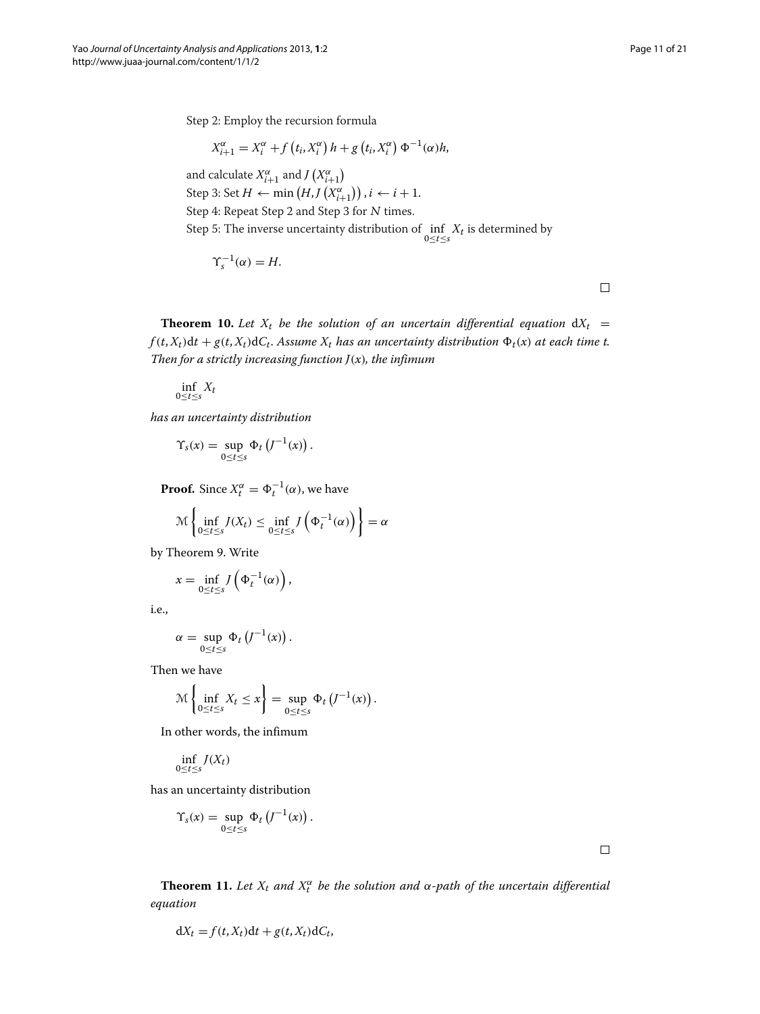Step 2: Employ the recursion formula

$$
X_{i+1}^{\alpha} = X_i^{\alpha} + f(t_i, X_i^{\alpha}) h + g(t_i, X_i^{\alpha}) \Phi^{-1}(\alpha) h,
$$

and calculate  $X_{i+1}^{\alpha}$  and  $J(X_{i+1}^{\alpha})$ Step 3: Set  $H \leftarrow \min (H, J(X^{\alpha}_{i+1}))$  ,  $i \leftarrow i+1$ . Step 4: Repeat Step 2 and Step 3 for <sup>N</sup> times. Step 5: The inverse uncertainty distribution of  $\inf_{0 \leq t \leq s} X_t$  is determined by

$$
\Upsilon_s^{-1}(\alpha) = H.
$$

 $\Box$ 

<span id="page-10-1"></span>**Theorem 10.** Let  $X_t$  be the solution of an uncertain differential equation  $dX_t =$  $f(t, X_t)dt + g(t, X_t)dC_t$ . Assume  $X_t$  has an uncertainty distribution  $\Phi_t(x)$  at each time t. *Then for a strictly increasing function J(x), the infimum*

$$
\inf_{0\leq t\leq s}X_t
$$

*has an uncertainty distribution*

$$
\Upsilon_s(x) = \sup_{0 \le t \le s} \Phi_t \left( J^{-1}(x) \right)
$$

**Proof.** Since  $X_t^{\alpha} = \Phi_t^{-1}(\alpha)$ , we have

$$
\mathcal{M}\left\{\inf_{0\leq t\leq s}J(X_t)\leq \inf_{0\leq t\leq s}J\left(\Phi_t^{-1}(\alpha)\right)\right\}=\alpha
$$

.

by Theorem [9.](#page-9-0) Write

$$
x = \inf_{0 \le t \le s} J\left(\Phi_t^{-1}(\alpha)\right),
$$

i.e.,

$$
\alpha = \sup_{0 \leq t \leq s} \Phi_t \left( J^{-1}(x) \right).
$$

Then we have

$$
\mathcal{M}\left\{\inf_{0\leq t\leq s}X_t\leq x\right\}=\sup_{0\leq t\leq s}\Phi_t\left(J^{-1}(x)\right).
$$

In other words, the infimum

$$
\inf_{0\leq t\leq s}J(X_t)
$$

has an uncertainty distribution

$$
\Upsilon_s(x) = \sup_{0 \le t \le s} \Phi_t \left( J^{-1}(x) \right).
$$

 $\Box$ 

<span id="page-10-0"></span>**Theorem 11.** Let  $X_t$  and  $X_t^{\alpha}$  be the solution and  $\alpha$ -path of the uncertain differential *equation*

$$
dX_t = f(t, X_t)dt + g(t, X_t)dC_t,
$$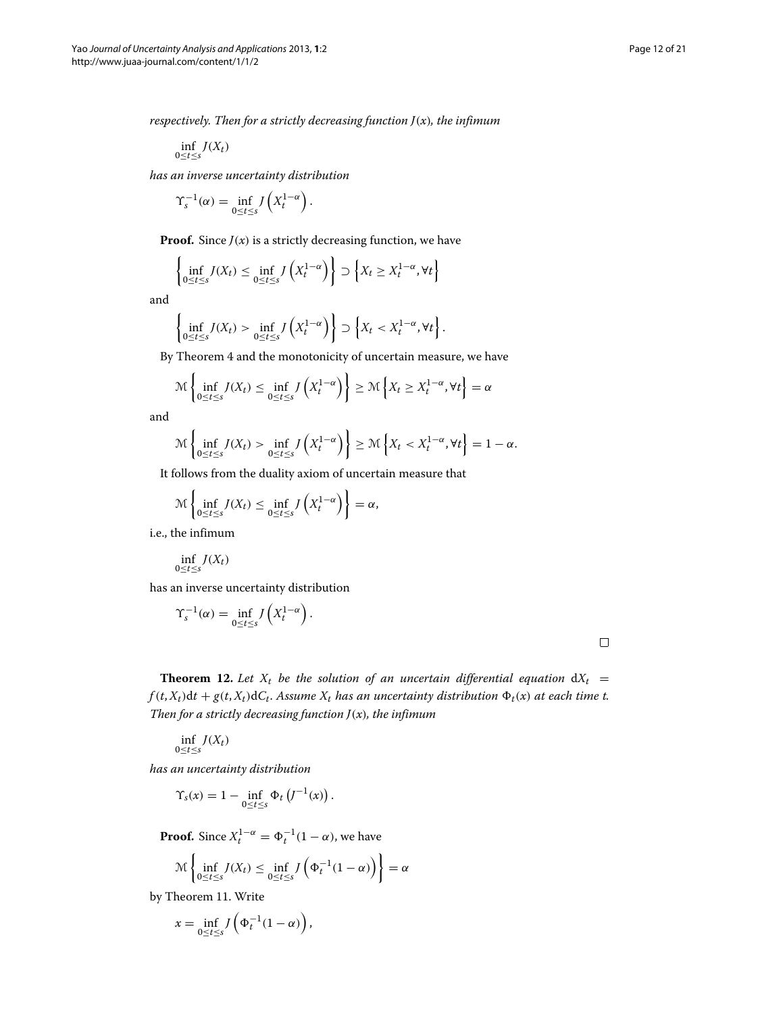*respectively. Then for a strictly decreasing function J(x), the infimum*

$$
\inf_{0\leq t\leq s}J(X_t)
$$

*has an inverse uncertainty distribution*

$$
\Upsilon_s^{-1}(\alpha) = \inf_{0 \le t \le s} J\left(X_t^{1-\alpha}\right).
$$

**Proof.** Since  $J(x)$  is a strictly decreasing function, we have

$$
\left\{\inf_{0\leq t\leq s} J(X_t) \leq \inf_{0\leq t\leq s} J\left(X_t^{1-\alpha}\right)\right\} \supset \left\{X_t \geq X_t^{1-\alpha}, \forall t\right\}
$$

and

$$
\left\{\inf_{0\leq t\leq s}J(X_t) > \inf_{0\leq t\leq s}J\left(X_t^{1-\alpha}\right)\right\} \supset \left\{X_t < X_t^{1-\alpha}, \forall t\right\}.
$$

By Theorem [4](#page-5-1) and the monotonicity of uncertain measure, we have

$$
\mathcal{M}\left\{\inf_{0\leq t\leq s}J(X_t)\leq \inf_{0\leq t\leq s}J\left(X_t^{1-\alpha}\right)\right\}\geq \mathcal{M}\left\{X_t\geq X_t^{1-\alpha},\forall t\right\}=\alpha
$$

and

$$
\mathcal{M}\left\{\inf_{0\leq t\leq s}J(X_t)>\inf_{0\leq t\leq s}J\left(X_t^{1-\alpha}\right)\right\}\geq \mathcal{M}\left\{X_t< X_t^{1-\alpha},\forall t\right\}=1-\alpha.
$$

It follows from the duality axiom of uncertain measure that

$$
\mathcal{M}\left\{\inf_{0\leq t\leq s}J(X_t)\leq \inf_{0\leq t\leq s}J\left(X_t^{1-\alpha}\right)\right\}=\alpha,
$$

i.e., the infimum

$$
\inf_{0\leq t\leq s}J(X_t)
$$

has an inverse uncertainty distribution

$$
\Upsilon_s^{-1}(\alpha) = \inf_{0 \le t \le s} J\left(X_t^{1-\alpha}\right).
$$

**Theorem 12.** Let  $X_t$  be the solution of an uncertain differential equation  $dX_t =$  $f(t, X_t)dt + g(t, X_t)dC_t$ . Assume  $X_t$  has an uncertainty distribution  $\Phi_t(x)$  at each time t. *Then for a strictly decreasing function J(x), the infimum*

$$
\inf_{0\leq t\leq s}J(X_t)
$$

*has an uncertainty distribution*

$$
\Upsilon_s(x) = 1 - \inf_{0 \le t \le s} \Phi_t \left( J^{-1}(x) \right).
$$

**Proof.** Since  $X_t^{1-\alpha} = \Phi_t^{-1}(1-\alpha)$ , we have

$$
\mathcal{M}\left\{\inf_{0\leq t\leq s}J(X_t)\leq \inf_{0\leq t\leq s}J\left(\Phi_t^{-1}(1-\alpha)\right)\right\}=\alpha
$$

by Theorem [11.](#page-10-0) Write

$$
x = \inf_{0 \le t \le s} J\left(\Phi_t^{-1}(1-\alpha)\right),
$$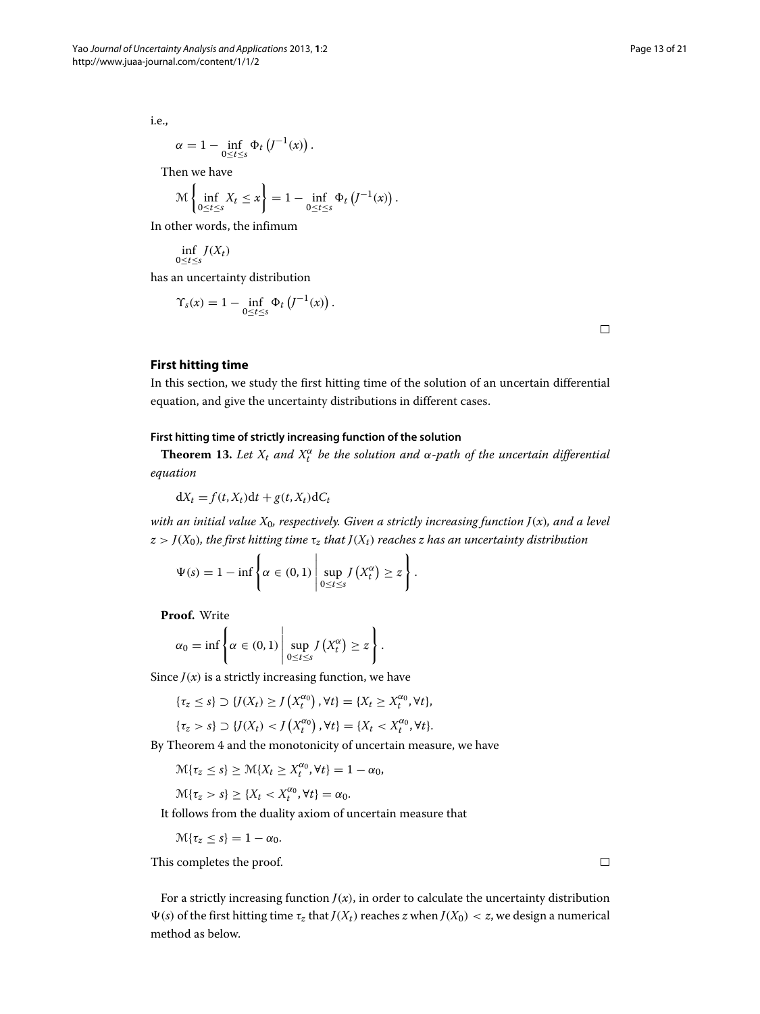i.e.,

$$
\alpha = 1 - \inf_{0 \leq t \leq s} \Phi_t \left( J^{-1}(x) \right).
$$

Then we have

$$
\mathcal{M}\left\{\inf_{0\leq t\leq s}X_t\leq x\right\}=1-\inf_{0\leq t\leq s}\Phi_t\left(J^{-1}(x)\right).
$$

In other words, the infimum

$$
\inf_{0\leq t\leq s}J(X_t)
$$

has an uncertainty distribution

$$
\Upsilon_{s}(x) = 1 - \inf_{0 \leq t \leq s} \Phi_{t}\left(J^{-1}(x)\right).
$$

 $\Box$ 

# <span id="page-12-0"></span>**First hitting time**

In this section, we study the first hitting time of the solution of an uncertain differential equation, and give the uncertainty distributions in different cases.

## **First hitting time of strictly increasing function of the solution**

**Theorem 13.** Let  $X_t$  and  $X_t^{\alpha}$  be the solution and  $\alpha$ -path of the uncertain differential *equation*

$$
dX_t = f(t, X_t)dt + g(t, X_t)dC_t
$$

 $\mathbf{r}$ 

*with an initial value X*0*, respectively. Given a strictly increasing function J(x), and a level*  $z > J(X_0)$ *, the first hitting time*  $\tau_z$  *that*  $J(X_t)$  *reaches z has an uncertainty distribution* 

> $\lambda$ .

$$
\Psi(s) = 1 - \inf \left\{ \alpha \in (0, 1) \, \middle| \, \sup_{0 \le t \le s} J\left(X_t^{\alpha}\right) \ge z \right\}
$$

**Proof.** Write

$$
\alpha_0 = \inf \left\{ \alpha \in (0,1) \, \middle| \, \sup_{0 \leq t \leq s} J\left(X_t^{\alpha}\right) \geq z \right\}.
$$

Since  $J(x)$  is a strictly increasing function, we have

$$
\{\tau_z \leq s\} \supset \{J(X_t) \geq J\left(X_t^{\alpha_0}\right), \forall t\} = \{X_t \geq X_t^{\alpha_0}, \forall t\},\
$$

$$
\{\tau_z>s\}\supset\{J(X_t)< J\left(X_t^{\alpha_0}\right),\forall t\}=\{X_t< X_t^{\alpha_0},\forall t\}.
$$

By Theorem [4](#page-5-1) and the monotonicity of uncertain measure, we have

$$
\mathcal{M}\{\tau_z \leq s\} \geq \mathcal{M}\{X_t \geq X_t^{\alpha_0}, \forall t\} = 1 - \alpha_0,
$$

$$
\mathcal{M}\{\tau_z>s\}\geq\{X_t
$$

It follows from the duality axiom of uncertain measure that

 $\mathcal{M}{\lbrace \tau_z \leq s \rbrace} = 1 - \alpha_0.$ 

This completes the proof.

For a strictly increasing function  $J(x)$ , in order to calculate the uncertainty distribution Ψ(*s*) of the first hitting time *τ<sub>z</sub>* that *J*(*X*<sub>*t*</sub>) reaches *z* when *J*(*X*<sub>0</sub>) < *z*, we design a numerical method as below.

 $\Box$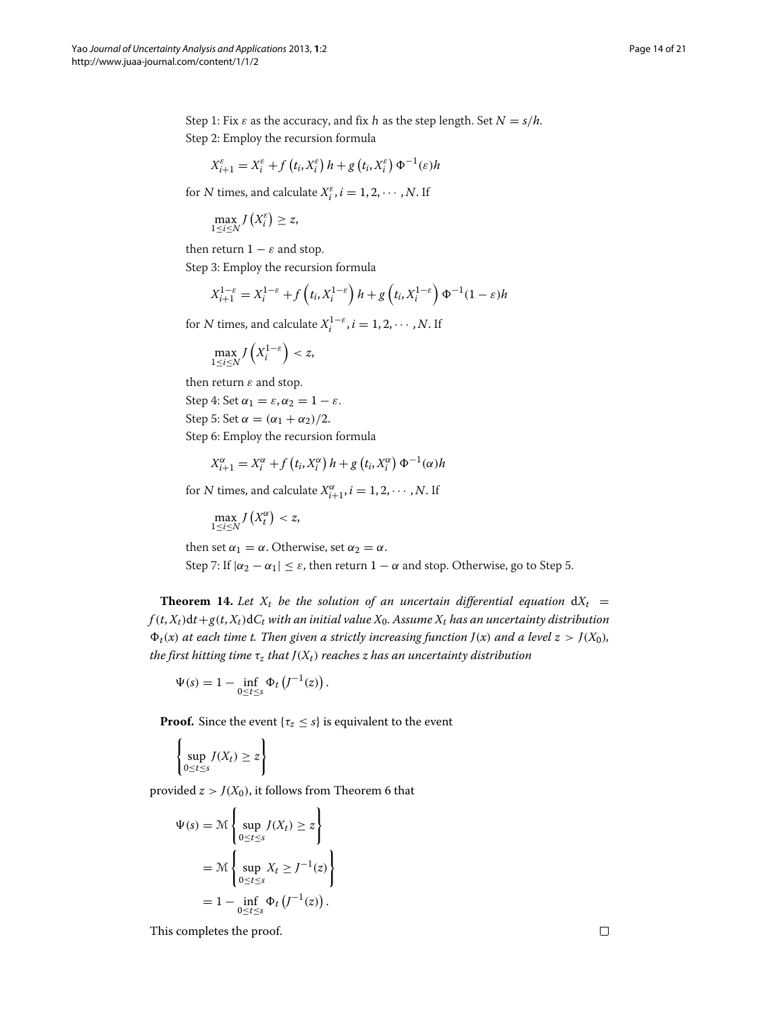Step 2: Employ the recursion formula

$$
X_{i+1}^{\varepsilon} = X_i^{\varepsilon} + f(t_i, X_i^{\varepsilon}) h + g(t_i, X_i^{\varepsilon}) \Phi^{-1}(\varepsilon) h
$$

for N times, and calculate  $X_i^{\varepsilon}$ ,  $i = 1, 2, \cdots, N$ . If

$$
\max_{1\leq i\leq N}J\left(X_i^{\varepsilon}\right)\geq z,
$$

then return  $1 - \varepsilon$  and stop.

Step 3: Employ the recursion formula

$$
X_{i+1}^{1-\varepsilon} = X_i^{1-\varepsilon} + f\left(t_i, X_i^{1-\varepsilon}\right)h + g\left(t_i, X_i^{1-\varepsilon}\right)\Phi^{-1}(1-\varepsilon)h
$$

Step 1: Fix  $\varepsilon$  as the accuracy, and fix h as the step length. Set  $N = s/h$ .

for *N* times, and calculate  $X_i^{1-\varepsilon}$ ,  $i = 1, 2, \cdots, N$ . If

$$
\max_{1\leq i\leq N} J\left(X_i^{1-\varepsilon}\right)< z,
$$

then return *ε* and stop.

Step 4: Set  $\alpha_1 = \varepsilon, \alpha_2 = 1 - \varepsilon$ . Step 5: Set  $\alpha = (\alpha_1 + \alpha_2)/2$ . Step 6: Employ the recursion formula

$$
X_{i+1}^{\alpha} = X_i^{\alpha} + f(t_i, X_i^{\alpha}) h + g(t_i, X_i^{\alpha}) \Phi^{-1}(\alpha) h
$$

for *N* times, and calculate  $X_{i+1}^{\alpha}, i = 1, 2, \cdots, N$ . If

 $\max_{1 \le i \le N} J(X_t^{\alpha}) < z$ ,

then set  $\alpha_1 = \alpha$ . Otherwise, set  $\alpha_2 = \alpha$ .

Step 7: If  $|\alpha_2 - \alpha_1| \leq \varepsilon$ , then return  $1 - \alpha$  and stop. Otherwise, go to Step 5.

**Theorem 14.** Let  $X_t$  be the solution of an uncertain differential equation  $dX_t =$  $f(t, X_t)dt + g(t, X_t) dC_t$  with an initial value  $X_0$ . Assume  $X_t$  has an uncertainty distribution  $\Phi_t(x)$  *at each time t. Then given a strictly increasing function*  $J(x)$  *<i>and a level*  $z > J(X_0)$ *, the first hitting time*  $\tau_z$  *that*  $J(X_t)$  *reaches z has an uncertainty distribution* 

$$
\Psi(s) = 1 - \inf_{0 \le t \le s} \Phi_t \left( J^{-1}(z) \right).
$$

**Proof.** Since the event  $\{\tau_z \leq s\}$  is equivalent to the event

$$
\left\{\sup_{0\leq t\leq s} J(X_t)\geq z\right\}
$$

provided  $z > J(X_0)$ , it follows from Theorem [6](#page-7-1) that

$$
\Psi(s) = \mathcal{M}\left\{\sup_{0 \le t \le s} J(X_t) \ge z\right\}
$$

$$
= \mathcal{M}\left\{\sup_{0 \le t \le s} X_t \ge J^{-1}(z)\right\}
$$

$$
= 1 - \inf_{0 \le t \le s} \Phi_t\left(J^{-1}(z)\right).
$$

This completes the proof.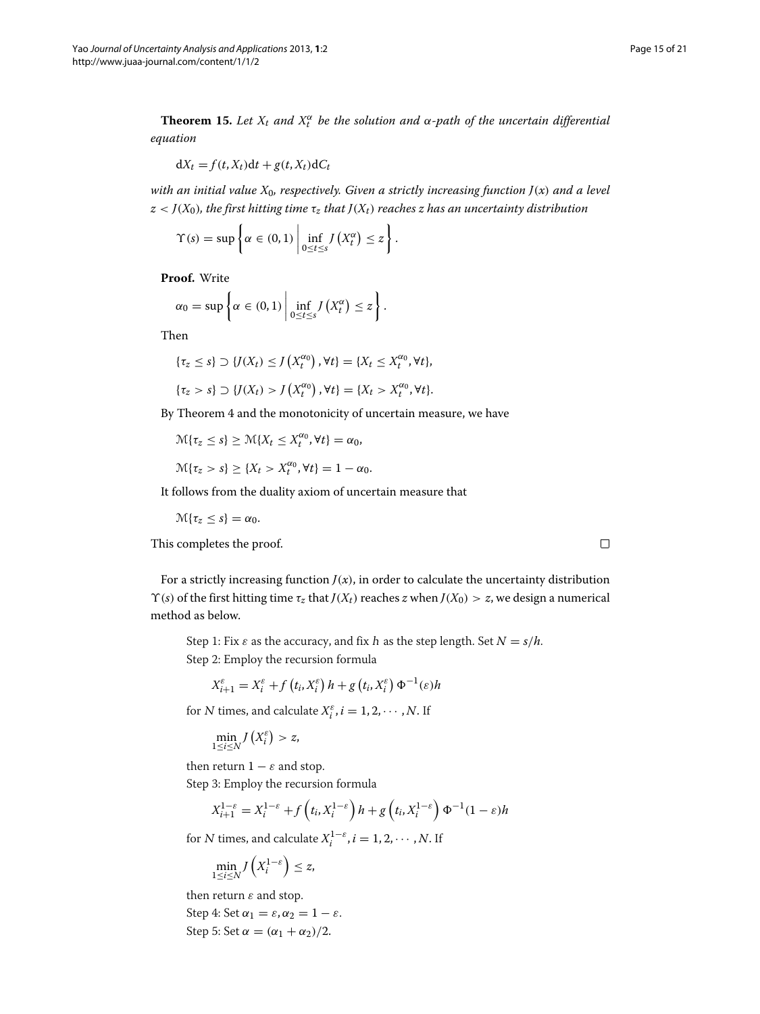**Theorem 15.** Let  $X_t$  and  $X_t^{\alpha}$  be the solution and  $\alpha$ -path of the uncertain differential *equation*

$$
dX_t = f(t, X_t)dt + g(t, X_t)dC_t
$$

*with an initial value X*0*, respectively. Given a strictly increasing function J(x) and a level*  $z < J(X_0)$ *, the first hitting time*  $\tau_z$  *that*  $J(X_t)$  *reaches z has an uncertainty distribution* 

$$
\Upsilon(s) = \sup \left\{ \alpha \in (0,1) \; \middle| \; \inf_{0 \leq t \leq s} J\left(X_t^{\alpha}\right) \leq z \right\}.
$$

**Proof.** Write

$$
\alpha_0 = \sup \left\{ \alpha \in (0,1) \; \middle| \; \inf_{0 \leq t \leq s} J\left(X_t^{\alpha}\right) \leq z \right\}.
$$

Then

$$
\{\tau_z \leq s\} \supset \{J(X_t) \leq J(X_t^{\alpha_0}), \forall t\} = \{X_t \leq X_t^{\alpha_0}, \forall t\},\
$$

$$
\{\tau_z>s\}\supset\{J(X_t)>J(X_t^{\alpha_0}),\forall t\}=\{X_t>X_t^{\alpha_0},\forall t\}.
$$

By Theorem [4](#page-5-1) and the monotonicity of uncertain measure, we have

$$
\mathcal{M}\{\tau_z \leq s\} \geq \mathcal{M}\{X_t \leq X_t^{\alpha_0}, \forall t\} = \alpha_0,
$$

$$
\mathcal{M}\{\tau_z>s\}\geq\{X_t>X_t^{\alpha_0},\forall t\}=1-\alpha_0.
$$

It follows from the duality axiom of uncertain measure that

 $\mathcal{M}{\tau_z \leq s} = \alpha_0.$ 

This completes the proof.

For a strictly increasing function  $J(x)$ , in order to calculate the uncertainty distribution *Y*(*s*) of the first hitting time *τ<sub>z</sub>* that *J*(*X<sub>t</sub>*) reaches *z* when *J*(*X*<sub>0</sub>) > *z*, we design a numerical method as below.

Step 1: Fix  $\varepsilon$  as the accuracy, and fix h as the step length. Set  $N = s/h$ . Step 2: Employ the recursion formula

$$
X_{i+1}^{\varepsilon} = X_i^{\varepsilon} + f(t_i, X_i^{\varepsilon}) h + g(t_i, X_i^{\varepsilon}) \Phi^{-1}(\varepsilon) h
$$

for N times, and calculate  $X_i^{\varepsilon}$ ,  $i = 1, 2, \cdots, N$ . If

$$
\min_{1\leq i\leq N}J(X_i^{\varepsilon})>z,
$$

then return  $1 - \varepsilon$  and stop.

Step 3: Employ the recursion formula

$$
X_{i+1}^{1-\varepsilon} = X_i^{1-\varepsilon} + f\left(t_i, X_i^{1-\varepsilon}\right)h + g\left(t_i, X_i^{1-\varepsilon}\right)\Phi^{-1}(1-\varepsilon)h
$$

for *N* times, and calculate  $X_i^{1-\varepsilon}$ ,  $i = 1, 2, \cdots, N$ . If

$$
\min_{1 \le i \le N} J\left(X_i^{1-\varepsilon}\right) \le z,
$$

then return *ε* and stop.

Step 4: Set  $\alpha_1 = \varepsilon, \alpha_2 = 1 - \varepsilon$ . Step 5: Set  $\alpha = (\alpha_1 + \alpha_2)/2$ .

$$
\Box
$$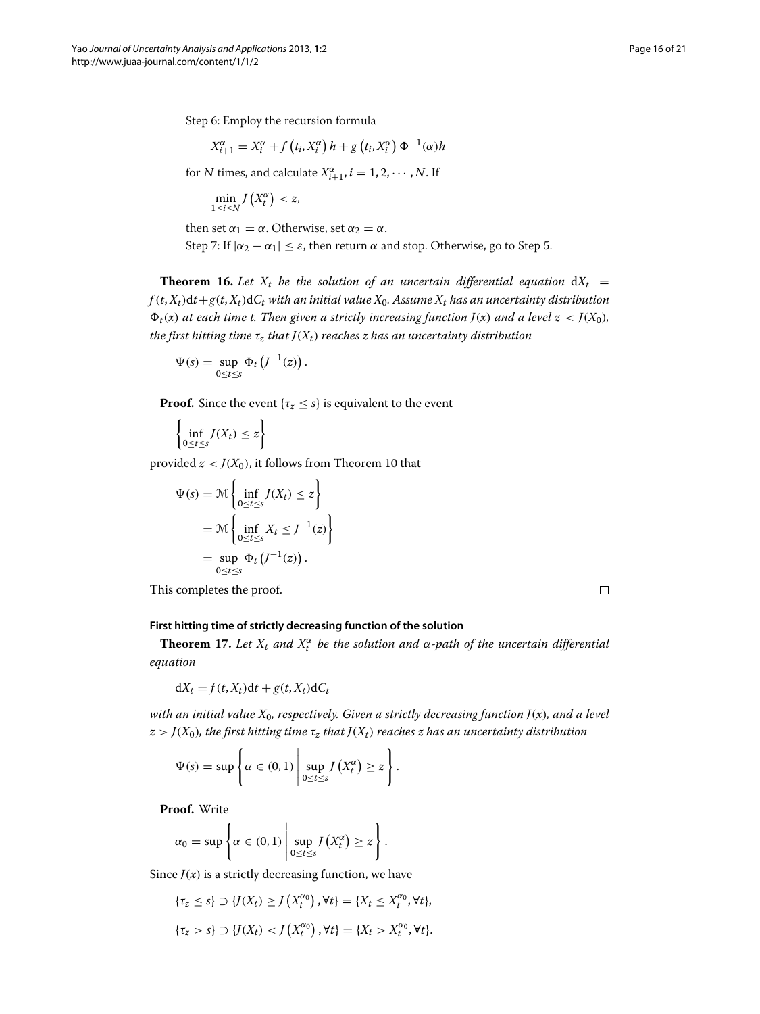Step 6: Employ the recursion formula

$$
X_{i+1}^{\alpha} = X_i^{\alpha} + f(t_i, X_i^{\alpha}) h + g(t_i, X_i^{\alpha}) \Phi^{-1}(\alpha) h
$$

for *N* times, and calculate  $X_{i+1}^{\alpha}, i = 1, 2, \cdots, N$ . If

$$
\min_{1\leq i\leq N}J\left(X_{t}^{\alpha}\right)
$$

then set  $\alpha_1 = \alpha$ . Otherwise, set  $\alpha_2 = \alpha$ . Step 7: If  $|\alpha_2 - \alpha_1| \leq \varepsilon$ , then return  $\alpha$  and stop. Otherwise, go to Step 5.

**Theorem 16.** Let  $X_t$  be the solution of an uncertain differential equation  $dX_t =$  $f(t, X_t)dt + g(t, X_t)dC_t$  with an initial value  $X_0$ . Assume  $X_t$  has an uncertainty distribution  $\Phi_t(x)$  at each time t. Then given a strictly increasing function  $J(x)$  and a level  $z < J(X_0)$ , *the first hitting time*  $\tau$ <sub>*z</sub> that*  $J(X_t)$  *reaches z has an uncertainty distribution*</sub>

$$
\Psi(s) = \sup_{0 \leq t \leq s} \Phi_t \left( J^{-1}(z) \right).
$$

**Proof.** Since the event  $\{\tau_z \leq s\}$  is equivalent to the event

$$
\left\{\inf_{0\leq t\leq s} J(X_t)\leq z\right\}
$$

provided  $z < J(X_0)$ , it follows from Theorem [10](#page-10-1) that

$$
\Psi(s) = \mathcal{M}\left\{\inf_{0 \le t \le s} J(X_t) \le z\right\}
$$
  
= 
$$
\mathcal{M}\left\{\inf_{0 \le t \le s} X_t \le J^{-1}(z)\right\}
$$
  
= 
$$
\sup_{0 \le t \le s} \Phi_t\left(J^{-1}(z)\right).
$$

This completes the proof.

 $\Box$ 

# **First hitting time of strictly decreasing function of the solution**

**Theorem 17.** Let  $X_t$  and  $X_t^{\alpha}$  be the solution and  $\alpha$ -path of the uncertain differential *equation*

$$
dX_t = f(t, X_t)dt + g(t, X_t)dC_t
$$

*with an initial value X*0*, respectively. Given a strictly decreasing function J(x), and a level*  $z > J(X_0)$ *, the first hitting time*  $\tau_z$  *that*  $J(X_t)$  *reaches z has an uncertainty distribution* 

$$
\Psi(s) = \sup \left\{ \alpha \in (0,1) \, \middle| \, \sup_{0 \leq t \leq s} J\left(X_t^{\alpha}\right) \geq z \right\}.
$$

**Proof.** Write

$$
\alpha_0 = \sup \left\{ \alpha \in (0,1) \, \middle| \, \sup_{0 \le t \le s} J\left(X_t^{\alpha}\right) \ge z \right\}.
$$

Since  $J(x)$  is a strictly decreasing function, we have

$$
\{\tau_z \leq s\} \supset \{J(X_t) \geq J(X_t^{\alpha_0}), \forall t\} = \{X_t \leq X_t^{\alpha_0}, \forall t\},\
$$

$$
\{\tau_z > s\} \supset \{J(X_t) < J(X_t^{\alpha_0}), \forall t\} = \{X_t > X_t^{\alpha_0}, \forall t\}.
$$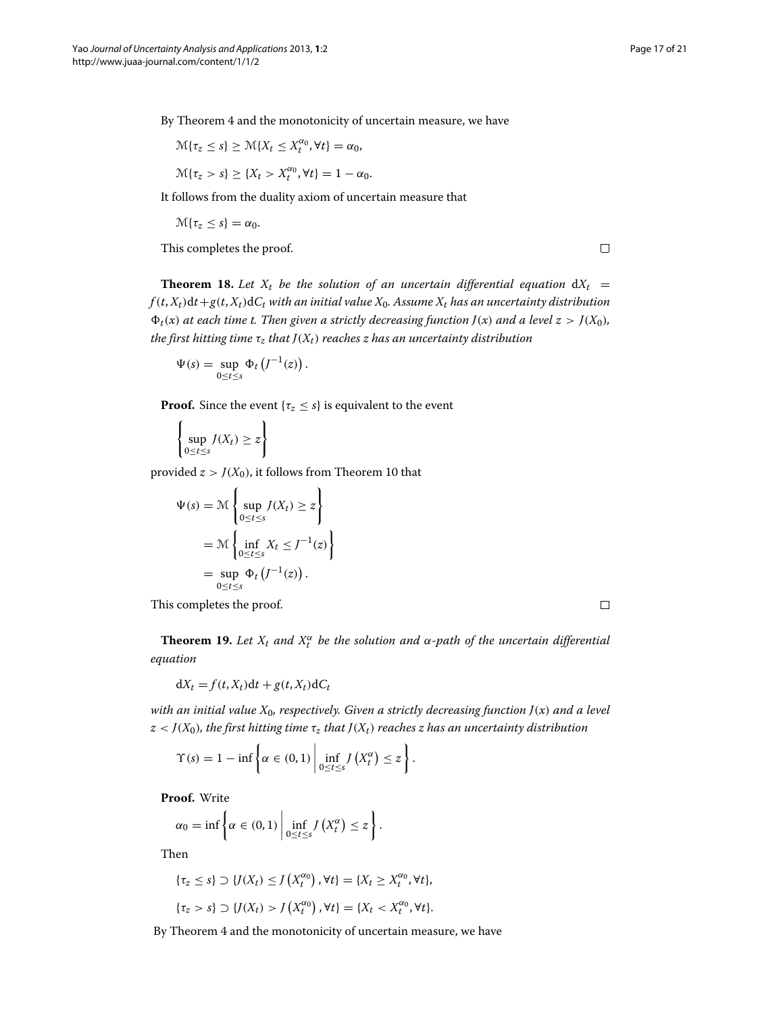By Theorem [4](#page-5-1) and the monotonicity of uncertain measure, we have

$$
\mathcal{M}\{\tau_z \le s\} \ge \mathcal{M}\{X_t \le X_t^{\alpha_0}, \forall t\} = \alpha_0,
$$
  

$$
\mathcal{M}\{\tau_z > s\} \ge \{X_t > X_t^{\alpha_0}, \forall t\} = 1 - \alpha_0.
$$

It follows from the duality axiom of uncertain measure that

 $\mathcal{M}\{\tau_z \leq s\} = \alpha_0.$ 

This completes the proof.

**Theorem 18.** Let  $X_t$  be the solution of an uncertain differential equation  $dX_t$  =  $f(t, X_t)dt + g(t, X_t)dC_t$  with an initial value  $X_0$ . Assume  $X_t$  has an uncertainty distribution  $\Phi_t(x)$  at each time t. Then given a strictly decreasing function  $J(x)$  and a level  $z > J(X_0)$ , *the first hitting time*  $\tau_z$  *that*  $J(X_t)$  *reaches z has an uncertainty distribution* 

$$
\Psi(s) = \sup_{0 \leq t \leq s} \Phi_t \left( J^{-1}(z) \right).
$$

**Proof.** Since the event  $\{\tau_z \leq s\}$  is equivalent to the event

$$
\left\{\sup_{0\leq t\leq s} J(X_t)\geq z\right\}
$$

provided  $z > J(X_0)$ , it follows from Theorem [10](#page-10-1) that

$$
\Psi(s) = \mathcal{M}\left\{\sup_{0 \le t \le s} J(X_t) \ge z\right\}
$$

$$
= \mathcal{M}\left\{\inf_{0 \le t \le s} X_t \le J^{-1}(z)\right\}
$$

$$
= \sup_{0 \le t \le s} \Phi_t\left(J^{-1}(z)\right).
$$

This completes the proof.

 $\Box$ 

 $\Box$ 

**Theorem 19.** Let  $X_t$  and  $X_t^{\alpha}$  be the solution and  $\alpha$ -path of the uncertain differential *equation*

$$
dX_t = f(t, X_t)dt + g(t, X_t)dC_t
$$

*with an initial value X*0*, respectively. Given a strictly decreasing function J(x) and a level*  $z$  <  $J(X_0)$ *, the first hitting time*  $\tau_z$  *that*  $J(X_t)$  *reaches z has an uncertainty distribution* 

$$
\Upsilon(s) = 1 - \inf \left\{ \alpha \in (0,1) \; \middle| \; \inf_{0 \leq t \leq s} J\left(X_t^{\alpha}\right) \leq z \right\}.
$$

**Proof.** Write

$$
\alpha_0 = \inf \left\{ \alpha \in (0,1) \; \middle| \; \inf_{0 \leq t \leq s} J\left(X_t^{\alpha}\right) \leq z \right\}.
$$

Then

$$
\{\tau_z \leq s\} \supset \{J(X_t) \leq J(X_t^{\alpha_0}), \forall t\} = \{X_t \geq X_t^{\alpha_0}, \forall t\},
$$
  

$$
\{\tau_z > s\} \supset \{J(X_t) > J(X_t^{\alpha_0}), \forall t\} = \{X_t < X_t^{\alpha_0}, \forall t\}.
$$

By Theorem [4](#page-5-1) and the monotonicity of uncertain measure, we have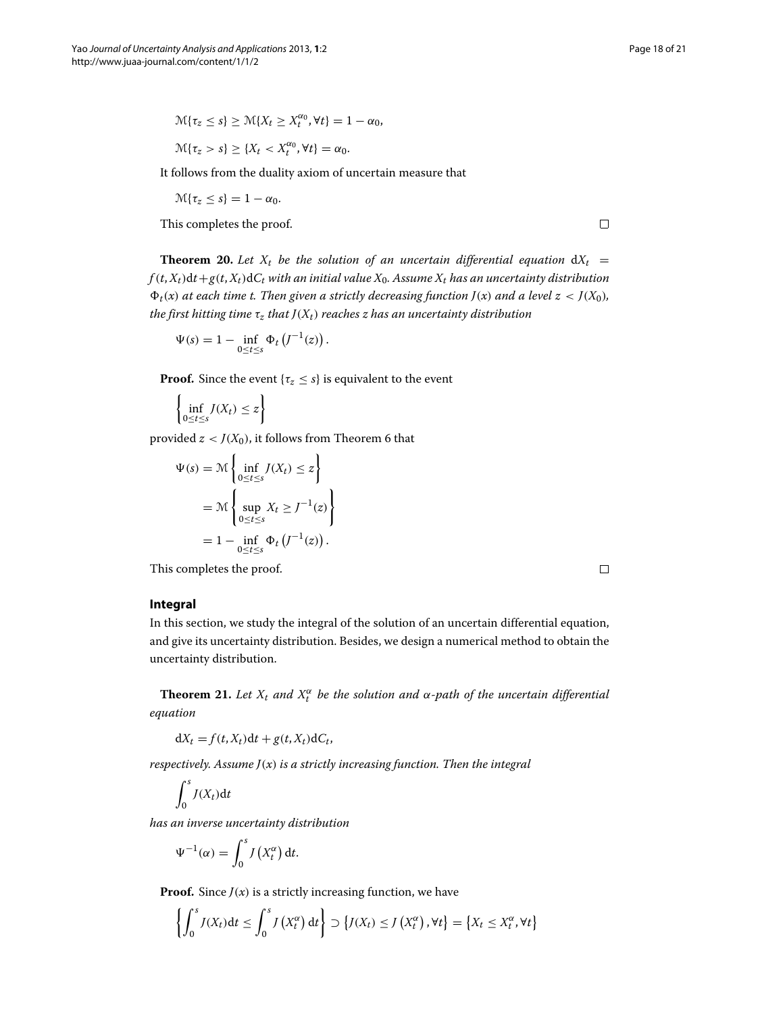$$
\mathcal{M}\{\tau_z \leq s\} \geq \mathcal{M}\{X_t \geq X_t^{\alpha_0}, \forall t\} = 1 - \alpha_0,
$$

$$
\mathcal{M}\{\tau_z>s\}\geq\{X_t
$$

It follows from the duality axiom of uncertain measure that

 $\mathcal{M}\{\tau_z \leq s\} = 1 - \alpha_0.$ 

This completes the proof.

 $\Box$ 

**Theorem 20.** Let  $X_t$  be the solution of an uncertain differential equation  $dX_t =$  $f(t, X_t)dt + g(t, X_t)dC_t$  with an initial value  $X_0$ . Assume  $X_t$  has an uncertainty distribution  $\Phi_t(x)$  at each time t. Then given a strictly decreasing function  $J(x)$  and a level  $z < J(X_0)$ , *the first hitting time*  $\tau$ <sub>*z</sub> that*  $J(X_t)$  *reaches z has an uncertainty distribution*</sub>

$$
\Psi(s) = 1 - \inf_{0 \le t \le s} \Phi_t \left( J^{-1}(z) \right).
$$

**Proof.** Since the event  $\{\tau_z \leq s\}$  is equivalent to the event

$$
\left\{\inf_{0\leq t\leq s} J(X_t)\leq z\right\}
$$

provided  $z < J(X_0)$ , it follows from Theorem [6](#page-7-1) that

$$
\Psi(s) = \mathcal{M}\left\{\inf_{0 \le t \le s} J(X_t) \le z\right\}
$$

$$
= \mathcal{M}\left\{\sup_{0 \le t \le s} X_t \ge J^{-1}(z)\right\}
$$

$$
= 1 - \inf_{0 \le t \le s} \Phi_t\left(J^{-1}(z)\right).
$$

This completes the proof.

 $\Box$ 

# <span id="page-17-0"></span>**Integral**

In this section, we study the integral of the solution of an uncertain differential equation, and give its uncertainty distribution. Besides, we design a numerical method to obtain the uncertainty distribution.

**Theorem 21.** Let  $X_t$  and  $X_t^{\alpha}$  be the solution and  $\alpha$ -path of the uncertain differential *equation*

 $dX_t = f(t, X_t)dt + g(t, X_t)dC_t$ 

*respectively. Assume J(x) is a strictly increasing function. Then the integral*

$$
\int_0^s J(X_t) \mathrm{d} t
$$

*has an inverse uncertainty distribution*

$$
\Psi^{-1}(\alpha) = \int_0^s J\left(X_t^{\alpha}\right) \mathrm{d}t.
$$

**Proof.** Since  $J(x)$  is a strictly increasing function, we have

$$
\left\{\int_0^s J(X_t)dt \leq \int_0^s J(X_t^{\alpha}) dt \right\} \supset \left\{J(X_t) \leq J(X_t^{\alpha}), \forall t \right\} = \left\{X_t \leq X_t^{\alpha}, \forall t \right\}
$$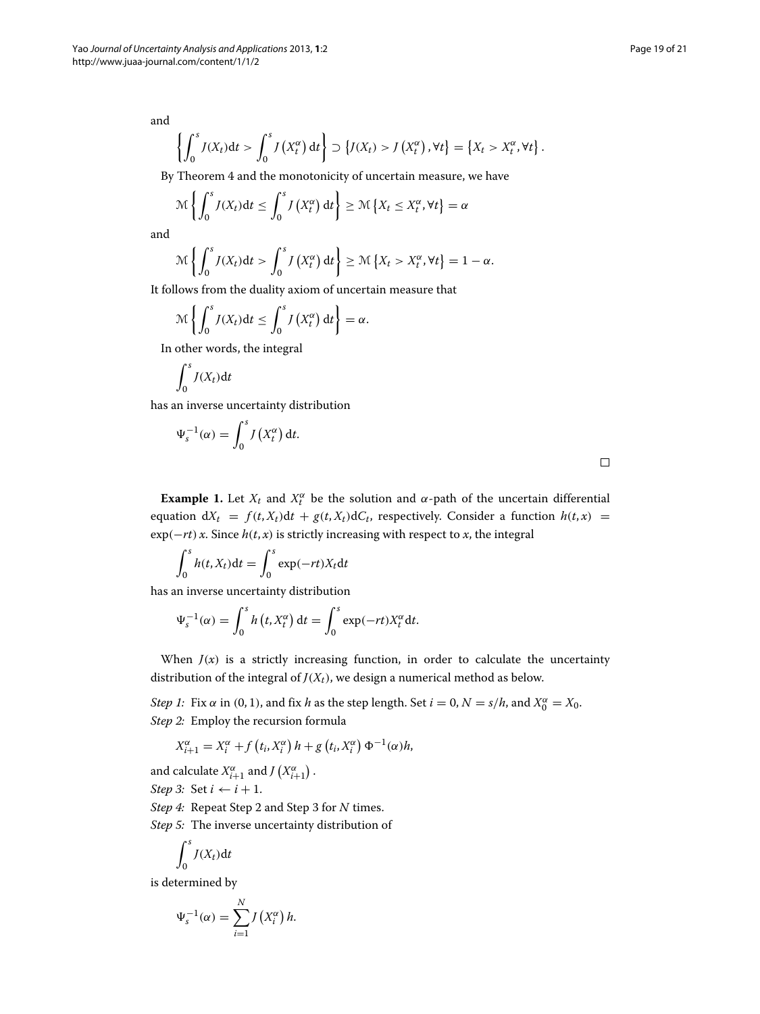and

$$
\left\{\int_0^s J(X_t)\mathrm{d}t > \int_0^s J\left(X_t^{\alpha}\right)\mathrm{d}t\right\} \supset \left\{J(X_t) > J\left(X_t^{\alpha}\right), \forall t\right\} = \left\{X_t > X_t^{\alpha}, \forall t\right\}.
$$

By Theorem [4](#page-5-1) and the monotonicity of uncertain measure, we have

$$
\mathcal{M}\left\{\int_0^s J(X_t)\mathrm{d}t\leq \int_0^s J\left(X_t^{\alpha}\right)\mathrm{d}t\right\}\geq \mathcal{M}\left\{X_t\leq X_t^{\alpha},\forall t\right\}=\alpha
$$

and

$$
\mathcal{M}\left\{\int_0^s J(X_t)\mathrm{d}t > \int_0^s J\left(X_t^{\alpha}\right)\mathrm{d}t\right\} \ge \mathcal{M}\left\{X_t > X_t^{\alpha}, \forall t\right\} = 1 - \alpha.
$$

It follows from the duality axiom of uncertain measure that

$$
\mathcal{M}\left\{\int_0^s J(X_t)\mathrm{d}t\leq \int_0^s J\left(X_t^{\alpha}\right)\mathrm{d}t\right\}=\alpha.
$$

In other words, the integral

$$
\int_0^s J(X_t) \mathrm{d} t
$$

has an inverse uncertainty distribution

$$
\Psi_s^{-1}(\alpha) = \int_0^s J\left(X_t^{\alpha}\right) \mathrm{d}t.
$$

 $\Box$ 

**Example 1.** Let  $X_t$  and  $X_t^{\alpha}$  be the solution and  $\alpha$ -path of the uncertain differential equation  $dX_t = f(t, X_t)dt + g(t, X_t)dC_t$ , respectively. Consider a function  $h(t, x) =$  $\exp(-rt)x$ . Since  $h(t, x)$  is strictly increasing with respect to *x*, the integral

$$
\int_0^s h(t, X_t) dt = \int_0^s \exp(-rt)X_t dt
$$

has an inverse uncertainty distribution

$$
\Psi_s^{-1}(\alpha) = \int_0^s h(t, X_t^{\alpha}) dt = \int_0^s \exp(-rt)X_t^{\alpha} dt.
$$

When  $J(x)$  is a strictly increasing function, in order to calculate the uncertainty distribution of the integral of  $J(X_t)$ , we design a numerical method as below.

*Step 1:* Fix  $\alpha$  in (0, 1), and fix *h* as the step length. Set *i* = 0,  $N = s/h$ , and  $X_0^{\alpha} = X_0$ . *Step 2:* Employ the recursion formula

$$
X_{i+1}^{\alpha} = X_i^{\alpha} + f(t_i, X_i^{\alpha}) h + g(t_i, X_i^{\alpha}) \Phi^{-1}(\alpha) h,
$$

and calculate  $X^{\alpha}_{i+1}$  and  $J(X^{\alpha}_{i+1})$ .

*Step 3:* Set  $i \leftarrow i + 1$ .

*Step 4:* Repeat Step 2 and Step 3 for *N* times.

*Step 5:* The inverse uncertainty distribution of

$$
\int_0^s J(X_t) \mathrm{d} t
$$

is determined by

$$
\Psi_s^{-1}(\alpha) = \sum_{i=1}^N J\left(X_i^{\alpha}\right)h.
$$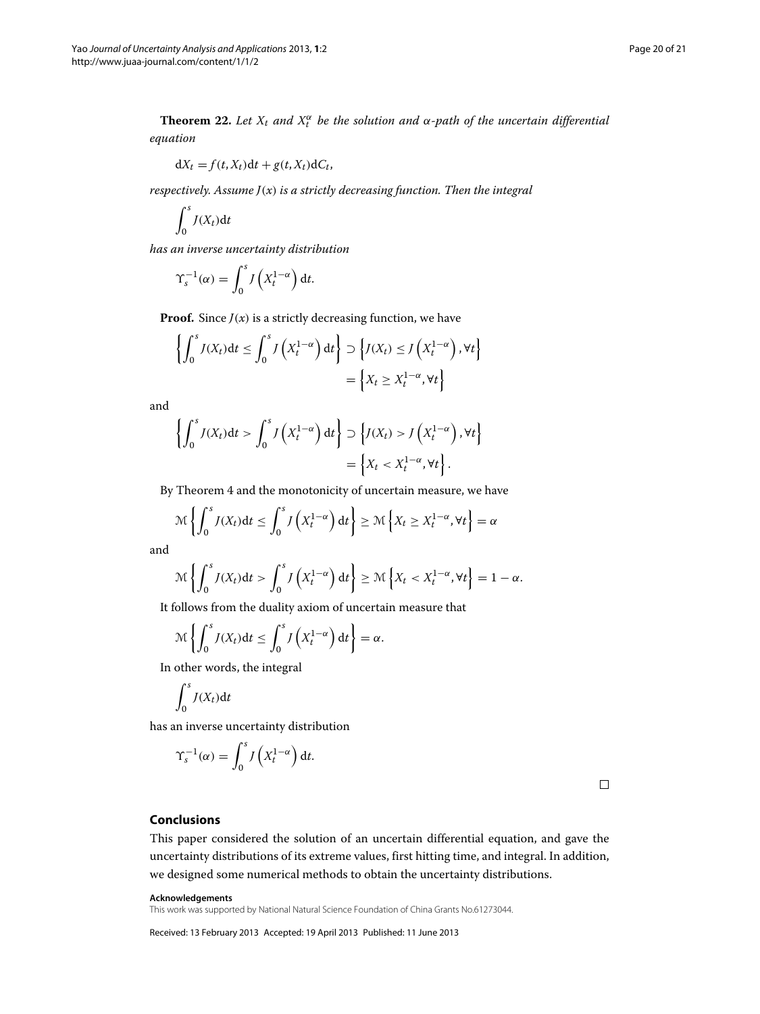**Theorem 22.** Let  $X_t$  and  $X_t^{\alpha}$  be the solution and  $\alpha$ -path of the uncertain differential *equation*

$$
dX_t = f(t, X_t)dt + g(t, X_t)dC_t,
$$

*respectively. Assume J(x) is a strictly decreasing function. Then the integral*

$$
\int_0^s J(X_t) \mathrm{d} t
$$

*has an inverse uncertainty distribution*

$$
\Upsilon_s^{-1}(\alpha) = \int_0^s J\left(X_t^{1-\alpha}\right) \mathrm{d}t.
$$

**Proof.** Since  $J(x)$  is a strictly decreasing function, we have

$$
\left\{ \int_0^s J(X_t) dt \le \int_0^s J\left(X_t^{1-\alpha}\right) dt \right\} \supset \left\{ J(X_t) \le J\left(X_t^{1-\alpha}\right), \forall t \right\}
$$

$$
= \left\{ X_t \ge X_t^{1-\alpha}, \forall t \right\}
$$

and

$$
\left\{ \int_0^s J(X_t) dt > \int_0^s J\left(X_t^{1-\alpha}\right) dt \right\} \supset \left\{ J(X_t) > J\left(X_t^{1-\alpha}\right), \forall t \right\}
$$

$$
= \left\{ X_t < X_t^{1-\alpha}, \forall t \right\}.
$$

By Theorem [4](#page-5-1) and the monotonicity of uncertain measure, we have

$$
\mathcal{M}\left\{\int_0^s J(X_t)\mathrm{d}t\leq \int_0^s J\left(X_t^{1-\alpha}\right)\mathrm{d}t\right\}\geq \mathcal{M}\left\{X_t\geq X_t^{1-\alpha},\forall t\right\}=\alpha
$$

and

$$
\mathcal{M}\left\{\int_0^s J(X_t)\mathrm{d}t > \int_0^s J\left(X_t^{1-\alpha}\right)\mathrm{d}t\right\} \ge \mathcal{M}\left\{X_t < X_t^{1-\alpha}, \forall t\right\} = 1 - \alpha.
$$

It follows from the duality axiom of uncertain measure that

$$
\mathcal{M}\left\{\int_0^s J(X_t)\mathrm{d}t\leq \int_0^s J\left(X_t^{1-\alpha}\right)\mathrm{d}t\right\}=\alpha.
$$

In other words, the integral

$$
\int_0^s J(X_t) \mathrm{d} t
$$

has an inverse uncertainty distribution

$$
\Upsilon_s^{-1}(\alpha) = \int_0^s J\left(X_t^{1-\alpha}\right) \mathrm{d}t.
$$

 $\Box$ 

# <span id="page-19-0"></span>**Conclusions**

This paper considered the solution of an uncertain differential equation, and gave the uncertainty distributions of its extreme values, first hitting time, and integral. In addition, we designed some numerical methods to obtain the uncertainty distributions.

#### **Acknowledgements**

This work was supported by National Natural Science Foundation of China Grants No.61273044.

Received: 13 February 2013 Accepted: 19 April 2013 Published: 11 June 2013